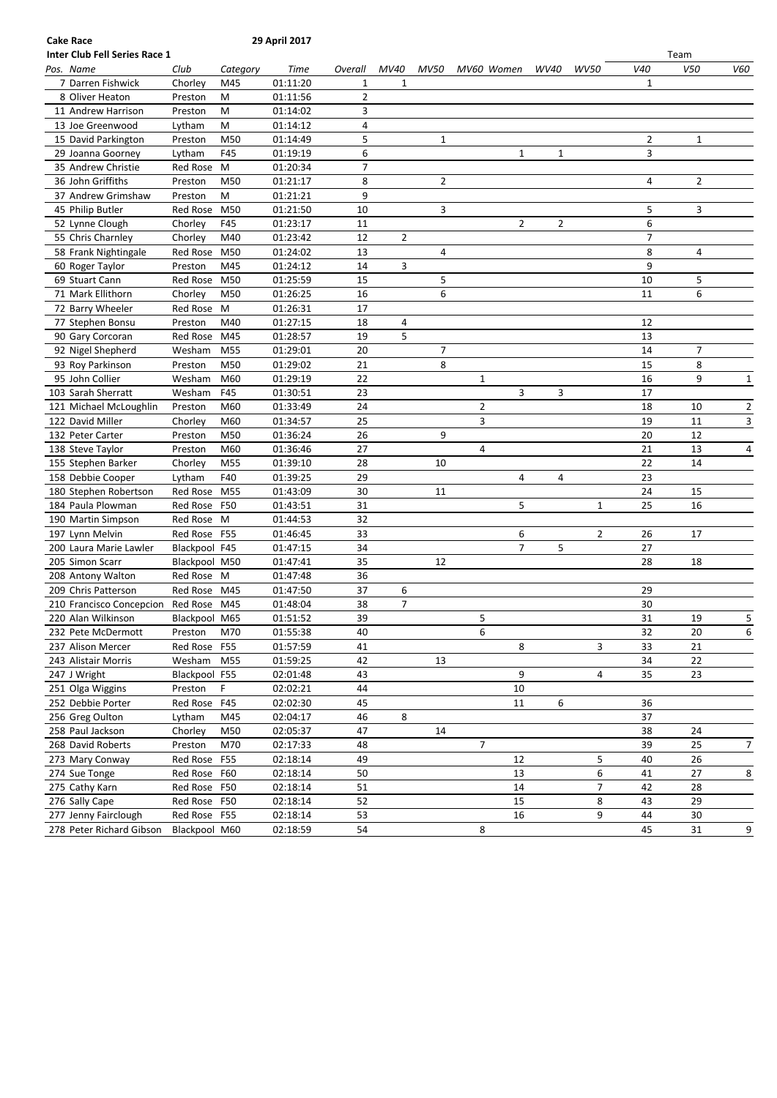| Inter Club Fell Series Race 1 |               |            |          |                |                |                |                |                |                |                |              | Team           |                |
|-------------------------------|---------------|------------|----------|----------------|----------------|----------------|----------------|----------------|----------------|----------------|--------------|----------------|----------------|
| Pos. Name                     | Club          | Category   | Time     | Overall        | MV40           | MV50           | MV60 Women     |                | WV40           | <b>WV50</b>    | V40          | V50            | V60            |
| 7 Darren Fishwick             | Chorley       | M45        | 01:11:20 | $\mathbf{1}$   | $\mathbf{1}$   |                |                |                |                |                | $\mathbf{1}$ |                |                |
| 8 Oliver Heaton               | Preston       | м          | 01:11:56 | 2              |                |                |                |                |                |                |              |                |                |
| 11 Andrew Harrison            | Preston       | M          | 01:14:02 | 3              |                |                |                |                |                |                |              |                |                |
| 13 Joe Greenwood              | Lytham        | M          | 01:14:12 | $\overline{4}$ |                |                |                |                |                |                |              |                |                |
| 15 David Parkington           | Preston       | M50        | 01:14:49 | 5              |                | $\mathbf{1}$   |                |                |                |                | 2            | $\mathbf{1}$   |                |
| 29 Joanna Goorney             | Lytham        | F45        | 01:19:19 | 6              |                |                |                | $\mathbf{1}$   | $\mathbf{1}$   |                | 3            |                |                |
| 35 Andrew Christie            | Red Rose M    |            | 01:20:34 | 7              |                |                |                |                |                |                |              |                |                |
| 36 John Griffiths             | Preston       | M50        | 01:21:17 | 8              |                | $\overline{2}$ |                |                |                |                | 4            | $\overline{2}$ |                |
| 37 Andrew Grimshaw            | Preston       | M          | 01:21:21 | 9              |                |                |                |                |                |                |              |                |                |
| 45 Philip Butler              | Red Rose      | M50        | 01:21:50 | 10             |                | 3              |                |                |                |                | 5            | 3              |                |
| 52 Lynne Clough               | Chorley       | F45        | 01:23:17 | 11             |                |                |                | $\overline{2}$ | $\overline{2}$ |                | 6            |                |                |
| 55 Chris Charnley             | Chorley       | M40        | 01:23:42 | 12             | $\overline{2}$ |                |                |                |                |                | 7            |                |                |
| 58 Frank Nightingale          | Red Rose      | M50        | 01:24:02 | 13             |                | 4              |                |                |                |                | 8            | 4              |                |
| 60 Roger Taylor               | Preston       | M45        | 01:24:12 | 14             | 3              |                |                |                |                |                | 9            |                |                |
| 69 Stuart Cann                | Red Rose      | M50        | 01:25:59 | 15             |                | 5              |                |                |                |                | 10           | 5              |                |
| 71 Mark Ellithorn             | Chorley       | M50        | 01:26:25 | 16             |                | 6              |                |                |                |                | 11           | 6              |                |
| 72 Barry Wheeler              | Red Rose M    |            | 01:26:31 | 17             |                |                |                |                |                |                |              |                |                |
| 77 Stephen Bonsu              | Preston       | M40        | 01:27:15 | 18             | 4              |                |                |                |                |                | 12           |                |                |
| 90 Gary Corcoran              | Red Rose      | M45        | 01:28:57 | 19             | 5              |                |                |                |                |                | 13           |                |                |
| 92 Nigel Shepherd             | Wesham        | M55        | 01:29:01 | 20             |                | 7              |                |                |                |                | 14           | $\overline{7}$ |                |
| 93 Roy Parkinson              | Preston       | M50        | 01:29:02 | 21             |                | 8              |                |                |                |                | 15           | 8              |                |
| 95 John Collier               | Wesham        | M60        | 01:29:19 | 22             |                |                | $\mathbf{1}$   |                |                |                | 16           | 9              | 1              |
| 103 Sarah Sherratt            | Wesham        | F45        | 01:30:51 | 23             |                |                |                | 3              | 3              |                | 17           |                |                |
| 121 Michael McLoughlin        | Preston       | M60        | 01:33:49 | 24             |                |                | $\overline{2}$ |                |                |                | 18           | 10             | 2              |
| 122 David Miller              | Chorley       | M60        | 01:34:57 | 25             |                |                | 3              |                |                |                | 19           | 11             | 3              |
| 132 Peter Carter              | Preston       | M50        | 01:36:24 | 26             |                | 9              |                |                |                |                | 20           | 12             |                |
| 138 Steve Taylor              | Preston       | M60        | 01:36:46 | 27             |                |                | 4              |                |                |                | 21           | 13             | 4              |
| 155 Stephen Barker            | Chorley       | M55        | 01:39:10 | 28             |                | 10             |                |                |                |                | 22           | 14             |                |
| 158 Debbie Cooper             | Lytham        | F40        | 01:39:25 | 29             |                |                |                | 4              | 4              |                | 23           |                |                |
| 180 Stephen Robertson         | Red Rose      | M55        | 01:43:09 | 30             |                | 11             |                |                |                |                | 24           | 15             |                |
| 184 Paula Plowman             | Red Rose      | F50        | 01:43:51 | 31             |                |                |                | 5              |                | $\mathbf{1}$   | 25           | 16             |                |
| 190 Martin Simpson            | Red Rose M    |            | 01:44:53 | 32             |                |                |                |                |                |                |              |                |                |
| 197 Lynn Melvin               | Red Rose      | F55        | 01:46:45 | 33             |                |                |                | 6              |                | $\overline{2}$ | 26           | 17             |                |
| 200 Laura Marie Lawler        | Blackpool F45 |            | 01:47:15 | 34             |                |                |                | $\overline{7}$ | 5              |                | 27           |                |                |
| 205 Simon Scarr               | Blackpool M50 |            | 01:47:41 | 35             |                | 12             |                |                |                |                | 28           | 18             |                |
| 208 Antony Walton             | Red Rose M    |            | 01:47:48 | 36             |                |                |                |                |                |                |              |                |                |
| 209 Chris Patterson           | Red Rose M45  |            | 01:47:50 | 37             | 6              |                |                |                |                |                | 29           |                |                |
| 210 Francisco Concepcion      | Red Rose      | M45        | 01:48:04 | 38             | 7              |                |                |                |                |                | 30           |                |                |
| 220 Alan Wilkinson            | Blackpool M65 |            | 01:51:52 | 39             |                |                | 5              |                |                |                | 31           | 19             | 5              |
| 232 Pete McDermott            | Preston       | M70        | 01:55:38 | 40             |                |                | 6              |                |                |                | 32           | $20\,$         | 6              |
| 237 Alison Mercer             | Red Rose F55  |            | 01:57:59 | 41             |                |                |                | 8              |                | 3              | 33           | 21             |                |
| 243 Alistair Morris           | Wesham        | M55        | 01:59:25 | 42             |                | 13             |                |                |                |                | 34           | 22             |                |
| 247 J Wright                  | Blackpool F55 |            | 02:01:48 | 43             |                |                |                | 9              |                | 4              | 35           | 23             |                |
| 251 Olga Wiggins              | Preston       | F.         | 02:02:21 | 44             |                |                |                | $10\,$         |                |                |              |                |                |
| 252 Debbie Porter             | Red Rose      | F45        | 02:02:30 | 45             |                |                |                | 11             | 6              |                | 36           |                |                |
| 256 Greg Oulton               | Lytham        | M45        | 02:04:17 | 46             | 8              |                |                |                |                |                | 37           |                |                |
| 258 Paul Jackson              | Chorley       | M50        | 02:05:37 | 47             |                | 14             |                |                |                |                | 38           | 24             |                |
| 268 David Roberts             | Preston       | M70        | 02:17:33 | 48             |                |                | 7              |                |                |                | 39           | 25             | 7              |
| 273 Mary Conway               | Red Rose      | <b>F55</b> | 02:18:14 | 49             |                |                |                | 12             |                | 5              | 40           | 26             |                |
| 274 Sue Tonge                 | Red Rose F60  |            | 02:18:14 | 50             |                |                |                | 13             |                | 6              | 41           | 27             | 8              |
| 275 Cathy Karn                | Red Rose F50  |            | 02:18:14 | 51             |                |                |                | 14             |                | 7              | 42           | 28             |                |
| 276 Sally Cape                | Red Rose F50  |            | 02:18:14 | 52             |                |                |                | 15             |                | 8              | 43           | 29             |                |
| 277 Jenny Fairclough          | Red Rose F55  |            | 02:18:14 | 53             |                |                |                | 16             |                | 9              | 44           | 30             |                |
| 278 Peter Richard Gibson      | Blackpool M60 |            | 02:18:59 | 54             |                |                | 8              |                |                |                | 45           | 31             |                |
|                               |               |            |          |                |                |                |                |                |                |                |              |                | $\overline{9}$ |

**Cake Race 29 April 2017**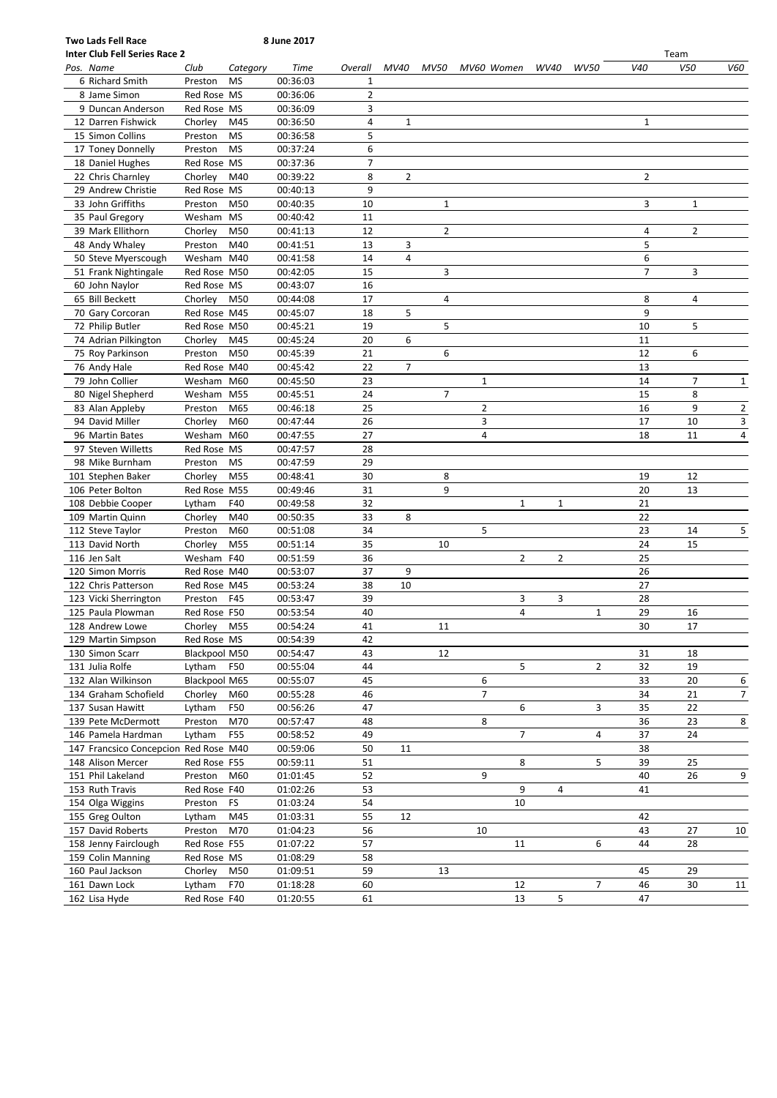| <b>Two Lads Fell Race</b>             |                        |           | 8 June 2017          |                     |                |                |                |                |      |             |                |                |                |
|---------------------------------------|------------------------|-----------|----------------------|---------------------|----------------|----------------|----------------|----------------|------|-------------|----------------|----------------|----------------|
| <b>Inter Club Fell Series Race 2</b>  |                        |           |                      |                     |                |                |                |                |      |             |                | Team           |                |
| Pos. Name                             | Club                   | Category  | Time                 | Overall             | MV40           | MV50           | MV60 Women     |                | WV40 | <b>WV50</b> | V40            | V50            | V60            |
| 6 Richard Smith                       | Preston<br>Red Rose MS | <b>MS</b> | 00:36:03             | 1<br>$\overline{2}$ |                |                |                |                |      |             |                |                |                |
| 8 Jame Simon<br>9 Duncan Anderson     | Red Rose MS            |           | 00:36:06<br>00:36:09 | 3                   |                |                |                |                |      |             |                |                |                |
| 12 Darren Fishwick                    |                        | M45       |                      | 4                   | 1              |                |                |                |      |             | $\mathbf{1}$   |                |                |
| 15 Simon Collins                      | Chorley                | <b>MS</b> | 00:36:50             | 5                   |                |                |                |                |      |             |                |                |                |
| 17 Toney Donnelly                     | Preston<br>Preston     | <b>MS</b> | 00:36:58<br>00:37:24 | 6                   |                |                |                |                |      |             |                |                |                |
| 18 Daniel Hughes                      | Red Rose MS            |           | 00:37:36             | $\overline{7}$      |                |                |                |                |      |             |                |                |                |
| 22 Chris Charnley                     | Chorley                | M40       | 00:39:22             | 8                   | $\overline{2}$ |                |                |                |      |             | $\overline{2}$ |                |                |
| 29 Andrew Christie                    | Red Rose MS            |           | 00:40:13             | 9                   |                |                |                |                |      |             |                |                |                |
| 33 John Griffiths                     | Preston                | M50       | 00:40:35             | 10                  |                | $\mathbf{1}$   |                |                |      |             | 3              | $\mathbf{1}$   |                |
| 35 Paul Gregory                       | Wesham MS              |           | 00:40:42             | 11                  |                |                |                |                |      |             |                |                |                |
| 39 Mark Ellithorn                     | Chorley                | M50       | 00:41:13             | 12                  |                | $\overline{2}$ |                |                |      |             | 4              | $\overline{2}$ |                |
| 48 Andy Whaley                        | Preston                | M40       | 00:41:51             | 13                  | 3              |                |                |                |      |             | 5              |                |                |
| 50 Steve Myerscough                   | Wesham M40             |           | 00:41:58             | 14                  | 4              |                |                |                |      |             | 6              |                |                |
| 51 Frank Nightingale                  | Red Rose M50           |           | 00:42:05             | 15                  |                | 3              |                |                |      |             | $\overline{7}$ | 3              |                |
| 60 John Naylor                        | Red Rose MS            |           | 00:43:07             | 16                  |                |                |                |                |      |             |                |                |                |
| 65 Bill Beckett                       | Chorley                | M50       | 00:44:08             | 17                  |                | 4              |                |                |      |             | 8              | 4              |                |
| 70 Gary Corcoran                      | Red Rose M45           |           | 00:45:07             | 18                  | 5              |                |                |                |      |             | 9              |                |                |
| 72 Philip Butler                      | Red Rose M50           |           | 00:45:21             | 19                  |                | 5              |                |                |      |             | 10             | 5              |                |
| 74 Adrian Pilkington                  | Chorley                | M45       | 00:45:24             | 20                  | 6              |                |                |                |      |             | 11             |                |                |
| 75 Roy Parkinson                      | Preston                | M50       | 00:45:39             | 21                  |                | 6              |                |                |      |             | 12             | 6              |                |
| 76 Andy Hale                          | Red Rose M40           |           | 00:45:42             | 22                  | $\overline{7}$ |                |                |                |      |             | 13             |                |                |
| 79 John Collier                       | Wesham M60             |           | 00:45:50             | 23                  |                |                | $\mathbf{1}$   |                |      |             | 14             | $\overline{7}$ | $\mathbf{1}$   |
| 80 Nigel Shepherd                     | Wesham M55             |           | 00:45:51             | 24                  |                | 7              |                |                |      |             | 15             | 8              |                |
| 83 Alan Appleby                       | Preston                | M65       | 00:46:18             | 25                  |                |                | 2              |                |      |             | 16             | 9              | $\overline{2}$ |
| 94 David Miller                       | Chorley                | M60       | 00:47:44             | 26                  |                |                | 3              |                |      |             | 17             | 10             | 3              |
| 96 Martin Bates                       | Wesham M60             |           | 00:47:55             | 27                  |                |                | 4              |                |      |             | 18             | 11             | 4              |
| 97 Steven Willetts                    | Red Rose MS            |           | 00:47:57             | 28                  |                |                |                |                |      |             |                |                |                |
| 98 Mike Burnham                       | Preston                | MS        | 00:47:59             | 29                  |                |                |                |                |      |             |                |                |                |
| 101 Stephen Baker                     | Chorley                | M55       | 00:48:41             | 30                  |                | 8              |                |                |      |             | 19             | 12             |                |
| 106 Peter Bolton                      | Red Rose M55           |           | 00:49:46             | 31                  |                | 9              |                |                |      |             | 20             | 13             |                |
| 108 Debbie Cooper                     | Lytham                 | F40       | 00:49:58             | 32                  |                |                |                | $\mathbf{1}$   | 1    |             | 21             |                |                |
| 109 Martin Quinn                      | Chorley                | M40       | 00:50:35             | 33                  | 8              |                |                |                |      |             | 22             |                |                |
| 112 Steve Taylor                      | Preston                | M60       | 00:51:08             | 34                  |                |                | 5              |                |      |             | 23             | 14             | 5              |
| 113 David North                       | Chorley                | M55       | 00:51:14             | 35                  |                | 10             |                |                |      |             | 24             | 15             |                |
| 116 Jen Salt                          | Wesham F40             |           | 00:51:59             | 36                  |                |                |                | $\overline{2}$ | 2    |             | 25             |                |                |
| 120 Simon Morris                      | Red Rose M40           |           | 00:53:07             | 37                  | 9              |                |                |                |      |             | 26             |                |                |
| 122 Chris Patterson                   | Red Rose M45           |           | 00:53:24             | 38                  | 10             |                |                |                |      |             | 27             |                |                |
| 123 Vicki Sherrington                 | Preston                | F45       | 00:53:47             | 39                  |                |                |                | 3              | 3    |             | 28             |                |                |
| 125 Paula Plowman                     | Red Rose F50           |           | 00:53:54             | 40                  |                |                |                | 4              |      | 1           | 29             | 16             |                |
| 128 Andrew Lowe                       | Chorley                | M55       | 00:54:24             | 41                  |                | 11             |                |                |      |             | 30             | 17             |                |
| 129 Martin Simpson                    | Red Rose MS            |           | 00:54:39             | 42                  |                |                |                |                |      |             |                |                |                |
| 130 Simon Scarr                       | Blackpool M50          |           | 00:54:47             | 43                  |                | 12             |                |                |      |             | 31             | 18             |                |
| 131 Julia Rolfe                       | Lytham                 | F50       | 00:55:04             | 44                  |                |                |                | 5              |      | 2           | 32             | 19             |                |
| 132 Alan Wilkinson                    | Blackpool M65          |           | 00:55:07             | 45                  |                |                | 6              |                |      |             | 33             | 20             | 6              |
| 134 Graham Schofield                  | Chorley                | M60       | 00:55:28             | 46                  |                |                | $\overline{7}$ |                |      |             | 34             | 21             | $\overline{7}$ |
| 137 Susan Hawitt                      | Lytham                 | F50       | 00:56:26             | 47                  |                |                |                | 6              |      | 3           | 35             | 22             |                |
| 139 Pete McDermott                    | Preston                | M70       | 00:57:47             | 48                  |                |                | 8              |                |      |             | 36             | 23             | 8              |
| 146 Pamela Hardman                    | Lytham                 | F55       | 00:58:52             | 49                  |                |                |                | $\overline{7}$ |      | 4           | 37             | 24             |                |
| 147 Francsico Concepcion Red Rose M40 |                        |           | 00:59:06             | 50                  | 11             |                |                |                |      |             | 38             |                |                |
| 148 Alison Mercer                     | Red Rose F55           |           | 00:59:11             | 51                  |                |                |                | 8              |      | 5           | 39             | 25             |                |
| 151 Phil Lakeland                     | Preston                | M60       | 01:01:45             | 52                  |                |                | 9              |                |      |             | 40             | 26             | 9              |
| 153 Ruth Travis                       | Red Rose F40           |           | 01:02:26             | 53                  |                |                |                | 9              | 4    |             | 41             |                |                |
| 154 Olga Wiggins                      | Preston                | <b>FS</b> | 01:03:24             | 54                  |                |                |                | 10             |      |             |                |                |                |
| 155 Greg Oulton                       | Lytham                 | M45       | 01:03:31             | 55                  | 12             |                |                |                |      |             | 42             |                |                |
| 157 David Roberts                     | Preston                | M70       | 01:04:23             | 56                  |                |                | 10             |                |      |             | 43             | 27             | 10             |
| 158 Jenny Fairclough                  | Red Rose F55           |           | 01:07:22             | 57                  |                |                |                | 11             |      | 6           | 44             | 28             |                |
| 159 Colin Manning                     | Red Rose MS            |           | 01:08:29             | 58                  |                |                |                |                |      |             |                |                |                |
| 160 Paul Jackson                      | Chorley                | M50       | 01:09:51             | 59                  |                | 13             |                |                |      |             | 45             | 29             |                |
| 161 Dawn Lock                         | Lytham                 | F70       | 01:18:28             | 60                  |                |                |                | 12             |      | 7           | 46             | 30             | 11             |
| 162 Lisa Hyde                         | Red Rose F40           |           | 01:20:55             | 61                  |                |                |                | 13             | 5    |             | 47             |                |                |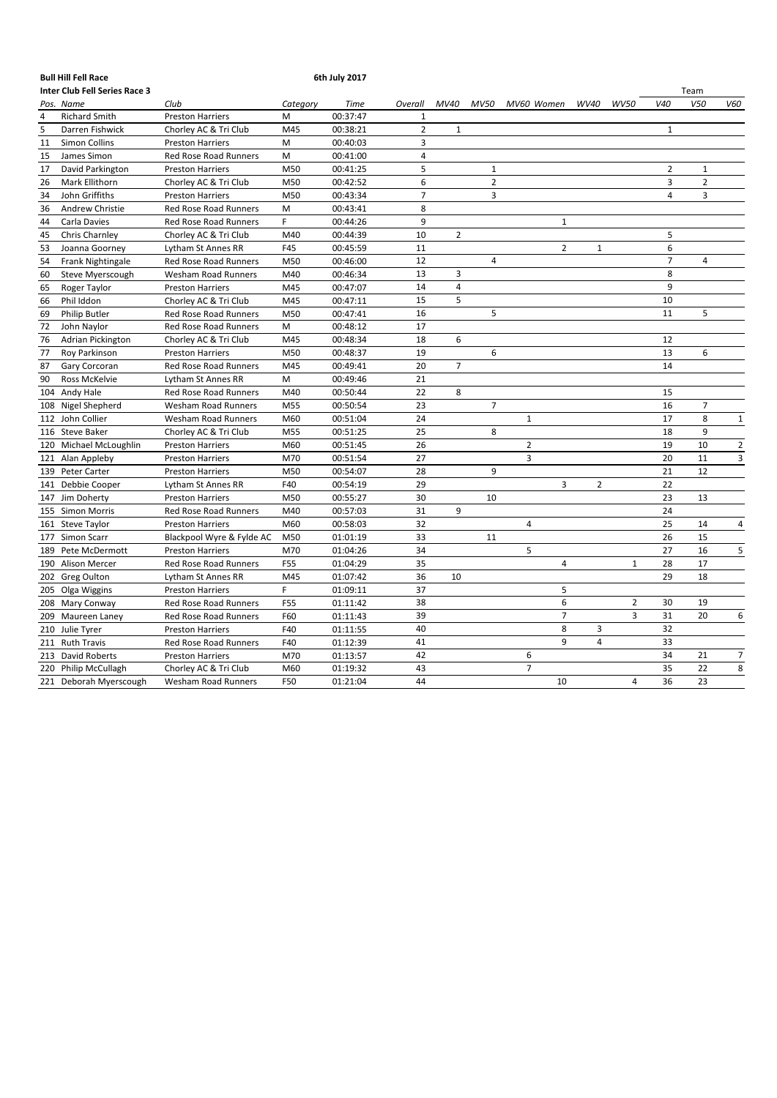|     | <b>Bull Hill Fell Race</b>           |                              |          | 6th July 2017 |                |                |                |                |                |                |                |                |                         |
|-----|--------------------------------------|------------------------------|----------|---------------|----------------|----------------|----------------|----------------|----------------|----------------|----------------|----------------|-------------------------|
|     | <b>Inter Club Fell Series Race 3</b> |                              |          |               |                |                |                |                |                |                |                | Team           |                         |
|     | Pos. Name                            | Club                         | Category | <b>Time</b>   | Overall        | MV40           | MV50           | MV60 Women     | WV40           | <b>WV50</b>    | V40            | V50            | V60                     |
| 4   | <b>Richard Smith</b>                 | <b>Preston Harriers</b>      | M        | 00:37:47      | 1              |                |                |                |                |                |                |                |                         |
| 5   | Darren Fishwick                      | Chorley AC & Tri Club        | M45      | 00:38:21      | $\overline{2}$ | $\mathbf{1}$   |                |                |                |                | $\mathbf{1}$   |                |                         |
| 11  | <b>Simon Collins</b>                 | <b>Preston Harriers</b>      | M        | 00:40:03      | 3              |                |                |                |                |                |                |                |                         |
| 15  | James Simon                          | <b>Red Rose Road Runners</b> | M        | 00:41:00      | 4              |                |                |                |                |                |                |                |                         |
| 17  | David Parkington                     | <b>Preston Harriers</b>      | M50      | 00:41:25      | 5              |                | $\mathbf{1}$   |                |                |                | 2              | $\mathbf{1}$   |                         |
| 26  | Mark Ellithorn                       | Chorley AC & Tri Club        | M50      | 00:42:52      | 6              |                | $\overline{2}$ |                |                |                | 3              | $\overline{2}$ |                         |
| 34  | John Griffiths                       | <b>Preston Harriers</b>      | M50      | 00:43:34      | $\overline{7}$ |                | 3              |                |                |                | 4              | 3              |                         |
| 36  | Andrew Christie                      | Red Rose Road Runners        | M        | 00:43:41      | 8              |                |                |                |                |                |                |                |                         |
| 44  | Carla Davies                         | <b>Red Rose Road Runners</b> | F        | 00:44:26      | 9              |                |                |                | $1\,$          |                |                |                |                         |
| 45  | Chris Charnley                       | Chorley AC & Tri Club        | M40      | 00:44:39      | 10             | $\overline{2}$ |                |                |                |                | 5              |                |                         |
| 53  | Joanna Goorney                       | Lytham St Annes RR           | F45      | 00:45:59      | 11             |                |                |                | $\overline{2}$ | $\mathbf{1}$   | 6              |                |                         |
| 54  | Frank Nightingale                    | Red Rose Road Runners        | M50      | 00:46:00      | 12             |                | $\overline{4}$ |                |                |                | $\overline{7}$ | 4              |                         |
| 60  | Steve Myerscough                     | <b>Wesham Road Runners</b>   | M40      | 00:46:34      | 13             | 3              |                |                |                |                | 8              |                |                         |
| 65  | Roger Taylor                         | <b>Preston Harriers</b>      | M45      | 00:47:07      | 14             | $\overline{4}$ |                |                |                |                | 9              |                |                         |
| 66  | Phil Iddon                           | Chorley AC & Tri Club        | M45      | 00:47:11      | 15             | 5              |                |                |                |                | 10             |                |                         |
| 69  | <b>Philip Butler</b>                 | Red Rose Road Runners        | M50      | 00:47:41      | 16             |                | 5              |                |                |                | 11             | 5              |                         |
| 72  | John Naylor                          | Red Rose Road Runners        | M        | 00:48:12      | 17             |                |                |                |                |                |                |                |                         |
| 76  | Adrian Pickington                    | Chorley AC & Tri Club        | M45      | 00:48:34      | 18             | 6              |                |                |                |                | 12             |                |                         |
| 77  | Roy Parkinson                        | <b>Preston Harriers</b>      | M50      | 00:48:37      | 19             |                | 6              |                |                |                | 13             | 6              |                         |
| 87  | Gary Corcoran                        | Red Rose Road Runners        | M45      | 00:49:41      | 20             | $\overline{7}$ |                |                |                |                | 14             |                |                         |
| 90  | Ross McKelvie                        | Lytham St Annes RR           | M        | 00:49:46      | 21             |                |                |                |                |                |                |                |                         |
|     | 104 Andy Hale                        | Red Rose Road Runners        | M40      | 00:50:44      | 22             | 8              |                |                |                |                | 15             |                |                         |
| 108 | Nigel Shepherd                       | <b>Wesham Road Runners</b>   | M55      | 00:50:54      | 23             |                | $\overline{7}$ |                |                |                | 16             | $\overline{7}$ |                         |
|     | 112 John Collier                     | <b>Wesham Road Runners</b>   | M60      | 00:51:04      | 24             |                |                | $\mathbf{1}$   |                |                | 17             | 8              | $\mathbf{1}$            |
|     | 116 Steve Baker                      | Chorley AC & Tri Club        | M55      | 00:51:25      | 25             |                | 8              |                |                |                | 18             | 9              |                         |
|     | 120 Michael McLoughlin               | <b>Preston Harriers</b>      | M60      | 00:51:45      | 26             |                |                | $\overline{2}$ |                |                | 19             | 10             | $\overline{\mathbf{c}}$ |
|     | 121 Alan Appleby                     | <b>Preston Harriers</b>      | M70      | 00:51:54      | 27             |                |                | 3              |                |                | 20             | 11             | 3                       |
|     | 139 Peter Carter                     | <b>Preston Harriers</b>      | M50      | 00:54:07      | 28             |                | 9              |                |                |                | 21             | 12             |                         |
|     | 141 Debbie Cooper                    | Lytham St Annes RR           | F40      | 00:54:19      | 29             |                |                |                | 3              | $\overline{2}$ | 22             |                |                         |
|     | 147 Jim Doherty                      | <b>Preston Harriers</b>      | M50      | 00:55:27      | 30             |                | 10             |                |                |                | 23             | 13             |                         |
|     | 155 Simon Morris                     | Red Rose Road Runners        | M40      | 00:57:03      | 31             | 9              |                |                |                |                | 24             |                |                         |
|     | 161 Steve Taylor                     | <b>Preston Harriers</b>      | M60      | 00:58:03      | 32             |                |                | 4              |                |                | 25             | 14             | $\overline{4}$          |
|     | 177 Simon Scarr                      | Blackpool Wyre & Fylde AC    | M50      | 01:01:19      | 33             |                | 11             |                |                |                | 26             | 15             |                         |
|     | 189 Pete McDermott                   | <b>Preston Harriers</b>      | M70      | 01:04:26      | 34             |                |                | 5              |                |                | 27             | 16             | 5                       |
|     | 190 Alison Mercer                    | Red Rose Road Runners        | F55      | 01:04:29      | 35             |                |                |                | 4              | $\mathbf{1}$   | 28             | 17             |                         |
|     | 202 Greg Oulton                      | Lytham St Annes RR           | M45      | 01:07:42      | 36             | 10             |                |                |                |                | 29             | 18             |                         |
|     | 205 Olga Wiggins                     | <b>Preston Harriers</b>      | F.       | 01:09:11      | 37             |                |                |                | 5              |                |                |                |                         |
|     | 208 Mary Conway                      | <b>Red Rose Road Runners</b> | F55      | 01:11:42      | 38             |                |                |                | 6              | $\overline{2}$ | 30             | 19             |                         |
|     | 209 Maureen Laney                    | Red Rose Road Runners        | F60      | 01:11:43      | 39             |                |                |                | $\overline{7}$ | $\overline{3}$ | 31             | 20             | 6                       |
| 210 | Julie Tyrer                          | <b>Preston Harriers</b>      | F40      | 01:11:55      | 40             |                |                |                | 8              | 3              | 32             |                |                         |
|     | 211 Ruth Travis                      | <b>Red Rose Road Runners</b> | F40      | 01:12:39      | 41             |                |                |                | 9              | 4              | 33             |                |                         |
|     | 213 David Roberts                    | <b>Preston Harriers</b>      | M70      | 01:13:57      | 42             |                |                | 6              |                |                | 34             | 21             | $\overline{7}$          |
|     | 220 Philip McCullagh                 | Chorley AC & Tri Club        | M60      | 01:19:32      | 43             |                |                | $\overline{7}$ |                |                | 35             | 22             | 8                       |
|     | 221 Deborah Myerscough               | Wesham Road Runners          | F50      | 01:21:04      | 44             |                |                | 10             |                | 4              | 36             | 23             |                         |
|     |                                      |                              |          |               |                |                |                |                |                |                |                |                |                         |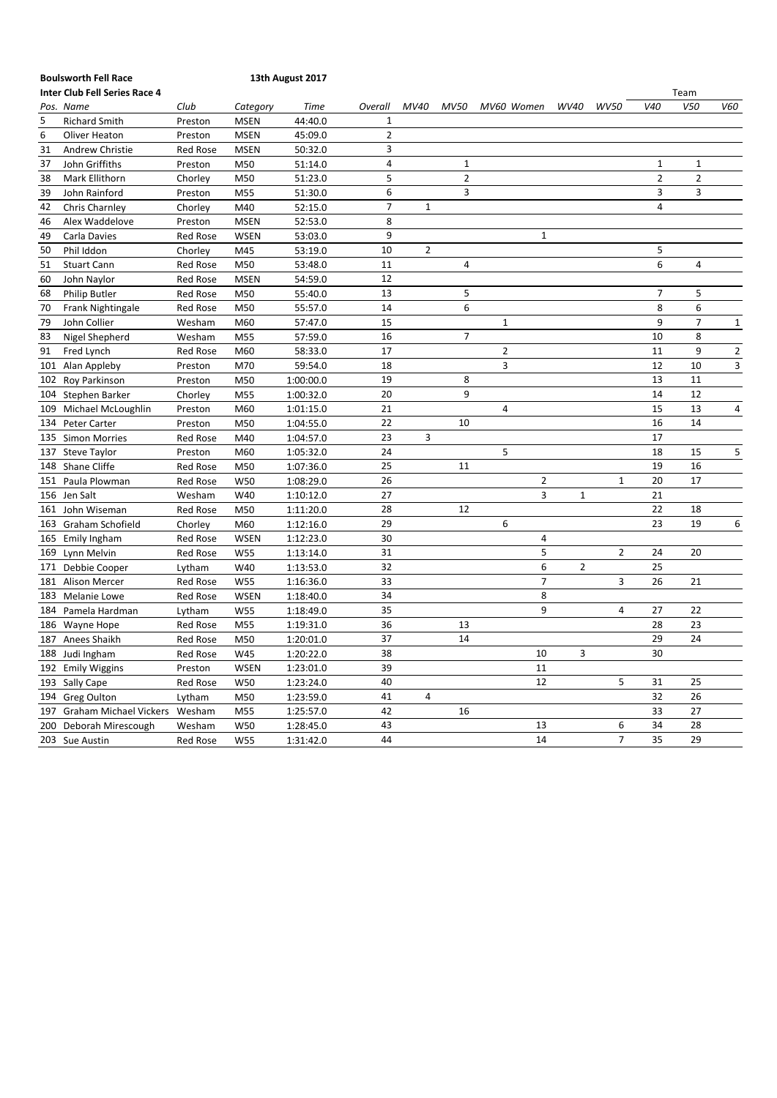### **Boulsworth Fell Race 13th August 2017**

|     | <b>Inter Club Fell Series Race 4</b> |                 |             |             |                |                |                |                |                |                |                |                 | Team           |                |
|-----|--------------------------------------|-----------------|-------------|-------------|----------------|----------------|----------------|----------------|----------------|----------------|----------------|-----------------|----------------|----------------|
|     | Pos. Name                            | Club            | Category    | <b>Time</b> | Overall        | MV40           | <b>MV50</b>    | MV60 Women     |                | WV40           | <b>WV50</b>    | V <sub>40</sub> | V50            | V60            |
| 5   | <b>Richard Smith</b>                 | Preston         | <b>MSEN</b> | 44:40.0     | 1              |                |                |                |                |                |                |                 |                |                |
| 6   | Oliver Heaton                        | Preston         | <b>MSEN</b> | 45:09.0     | $\overline{2}$ |                |                |                |                |                |                |                 |                |                |
| 31  | Andrew Christie                      | Red Rose        | <b>MSEN</b> | 50:32.0     | 3              |                |                |                |                |                |                |                 |                |                |
| 37  | John Griffiths                       | Preston         | M50         | 51:14.0     | $\overline{4}$ |                | $\mathbf{1}$   |                |                |                |                | $\mathbf 1$     | $\mathbf{1}$   |                |
| 38  | Mark Ellithorn                       | Chorley         | M50         | 51:23.0     | 5              |                | $\overline{2}$ |                |                |                |                | $\overline{2}$  | $\overline{2}$ |                |
| 39  | John Rainford                        | Preston         | M55         | 51:30.0     | 6              |                | 3              |                |                |                |                | 3               | 3              |                |
| 42  | Chris Charnley                       | Chorley         | M40         | 52:15.0     | $\overline{7}$ | $\mathbf{1}$   |                |                |                |                |                | $\overline{4}$  |                |                |
| 46  | Alex Waddelove                       | Preston         | <b>MSEN</b> | 52:53.0     | 8              |                |                |                |                |                |                |                 |                |                |
| 49  | Carla Davies                         | <b>Red Rose</b> | <b>WSEN</b> | 53:03.0     | 9              |                |                |                | $\mathbf 1$    |                |                |                 |                |                |
| 50  | Phil Iddon                           | Chorley         | M45         | 53:19.0     | 10             | $\overline{2}$ |                |                |                |                |                | 5               |                |                |
| 51  | <b>Stuart Cann</b>                   | <b>Red Rose</b> | M50         | 53:48.0     | 11             |                | 4              |                |                |                |                | 6               | 4              |                |
| 60  | John Naylor                          | <b>Red Rose</b> | <b>MSEN</b> | 54:59.0     | 12             |                |                |                |                |                |                |                 |                |                |
| 68  | <b>Philip Butler</b>                 | Red Rose        | M50         | 55:40.0     | 13             |                | 5              |                |                |                |                | $\overline{7}$  | 5              |                |
| 70  | Frank Nightingale                    | <b>Red Rose</b> | M50         | 55:57.0     | 14             |                | 6              |                |                |                |                | 8               | 6              |                |
| 79  | John Collier                         | Wesham          | M60         | 57:47.0     | 15             |                |                | $\mathbf{1}$   |                |                |                | 9               | $\overline{7}$ | $\mathbf{1}$   |
| 83  | Nigel Shepherd                       | Wesham          | M55         | 57:59.0     | 16             |                | 7              |                |                |                |                | 10              | 8              |                |
| 91  | Fred Lynch                           | <b>Red Rose</b> | M60         | 58:33.0     | 17             |                |                | $\overline{2}$ |                |                |                | 11              | 9              | $\overline{2}$ |
| 101 | Alan Appleby                         | Preston         | M70         | 59:54.0     | 18             |                |                | 3              |                |                |                | 12              | 10             | 3              |
|     | 102 Roy Parkinson                    | Preston         | M50         | 1:00:00.0   | 19             |                | 8              |                |                |                |                | 13              | 11             |                |
|     | 104 Stephen Barker                   | Chorley         | M55         | 1:00:32.0   | 20             |                | 9              |                |                |                |                | 14              | 12             |                |
| 109 | Michael McLoughlin                   | Preston         | M60         | 1:01:15.0   | 21             |                |                | 4              |                |                |                | 15              | 13             | 4              |
|     | 134 Peter Carter                     | Preston         | M50         | 1:04:55.0   | 22             |                | 10             |                |                |                |                | 16              | 14             |                |
|     | 135 Simon Morries                    | <b>Red Rose</b> | M40         | 1:04:57.0   | 23             | 3              |                |                |                |                |                | 17              |                |                |
|     | 137 Steve Taylor                     | Preston         | M60         | 1:05:32.0   | 24             |                |                | 5              |                |                |                | 18              | 15             | 5              |
|     | 148 Shane Cliffe                     | <b>Red Rose</b> | M50         | 1:07:36.0   | 25             |                | 11             |                |                |                |                | 19              | 16             |                |
| 151 | Paula Plowman                        | <b>Red Rose</b> | W50         | 1:08:29.0   | 26             |                |                |                | 2              |                | 1              | 20              | 17             |                |
|     | 156 Jen Salt                         | Wesham          | W40         | 1:10:12.0   | 27             |                |                |                | 3              | $\mathbf{1}$   |                | 21              |                |                |
| 161 | John Wiseman                         | <b>Red Rose</b> | M50         | 1:11:20.0   | 28             |                | 12             |                |                |                |                | 22              | 18             |                |
|     | 163 Graham Schofield                 | Chorley         | M60         | 1:12:16.0   | 29             |                |                | 6              |                |                |                | 23              | 19             | 6              |
|     | 165 Emily Ingham                     | <b>Red Rose</b> | <b>WSEN</b> | 1:12:23.0   | 30             |                |                |                | 4              |                |                |                 |                |                |
|     | 169 Lynn Melvin                      | <b>Red Rose</b> | W55         | 1:13:14.0   | 31             |                |                |                | 5              |                | $\overline{2}$ | 24              | 20             |                |
|     | 171 Debbie Cooper                    | Lytham          | W40         | 1:13:53.0   | 32             |                |                |                | 6              | $\overline{2}$ |                | 25              |                |                |
|     | 181 Alison Mercer                    | Red Rose        | W55         | 1:16:36.0   | 33             |                |                |                | $\overline{7}$ |                | 3              | 26              | 21             |                |
| 183 | <b>Melanie Lowe</b>                  | <b>Red Rose</b> | WSEN        | 1:18:40.0   | 34             |                |                |                | 8              |                |                |                 |                |                |
|     | 184 Pamela Hardman                   | Lytham          | W55         | 1:18:49.0   | 35             |                |                |                | 9              |                | 4              | 27              | 22             |                |
|     | 186 Wayne Hope                       | <b>Red Rose</b> | M55         | 1:19:31.0   | 36             |                | 13             |                |                |                |                | 28              | 23             |                |
|     | 187 Anees Shaikh                     | Red Rose        | M50         | 1:20:01.0   | 37             |                | 14             |                |                |                |                | 29              | 24             |                |
|     | 188 Judi Ingham                      | <b>Red Rose</b> | W45         | 1:20:22.0   | 38             |                |                |                | 10             | 3              |                | 30              |                |                |
| 192 | <b>Emily Wiggins</b>                 | Preston         | <b>WSEN</b> | 1:23:01.0   | 39             |                |                |                | 11             |                |                |                 |                |                |
|     | 193 Sally Cape                       | Red Rose        | W50         | 1:23:24.0   | 40             |                |                |                | 12             |                | 5              | 31              | 25             |                |
|     | 194 Greg Oulton                      | Lytham          | M50         | 1:23:59.0   | 41             | 4              |                |                |                |                |                | 32              | 26             |                |
| 197 | Graham Michael Vickers               | Wesham          | M55         | 1:25:57.0   | 42             |                | 16             |                |                |                |                | 33              | 27             |                |
| 200 | Deborah Mirescough                   | Wesham          | W50         | 1:28:45.0   | 43             |                |                |                | 13             |                | 6              | 34              | 28             |                |
|     | 203 Sue Austin                       | <b>Red Rose</b> | W55         | 1:31:42.0   | 44             |                |                |                | 14             |                | $\overline{7}$ | 35              | 29             |                |
|     |                                      |                 |             |             |                |                |                |                |                |                |                |                 |                |                |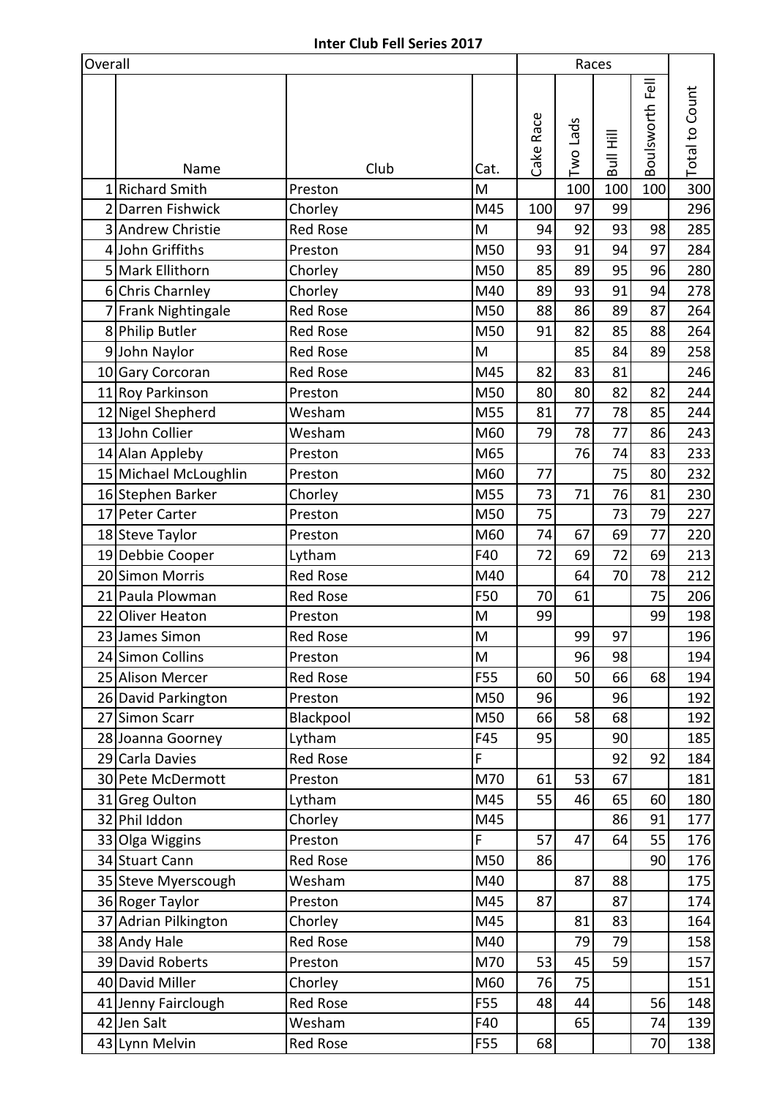| Overall        |                                      |                            |          |           |           | Races     |                 |                       |
|----------------|--------------------------------------|----------------------------|----------|-----------|-----------|-----------|-----------------|-----------------------|
|                |                                      |                            |          | Cake Race | Two Lads  | Bull Hill | Boulsworth Fell | <b>Total to Count</b> |
|                | Name                                 | Club                       | Cat.     |           |           |           |                 |                       |
| $\overline{2}$ | 1 Richard Smith                      | Preston                    | M        |           | 100<br>97 | 100       | 100             | 300                   |
|                | Darren Fishwick<br>3 Andrew Christie | Chorley<br><b>Red Rose</b> | M45<br>M | 100<br>94 | 92        | 99<br>93  | 98              | 296<br>285            |
|                | John Griffiths                       | Preston                    | M50      | 93        | 91        | 94        | 97              | 284                   |
| 4              | 5 Mark Ellithorn                     | Chorley                    | M50      | 85        | 89        | 95        | 96              | 280                   |
|                | 6 Chris Charnley                     | Chorley                    | M40      | 89        | 93        | 91        | 94              | 278                   |
|                | 7 Frank Nightingale                  | Red Rose                   | M50      | 88        | 86        | 89        | 87              | 264                   |
|                |                                      | <b>Red Rose</b>            | M50      | 91        | 82        | 85        | 88              | 264                   |
| 9              | 8 Philip Butler                      | <b>Red Rose</b>            | M        |           | 85        | 84        | 89              |                       |
|                | John Naylor<br>10 Gary Corcoran      | Red Rose                   | M45      | 82        | 83        | 81        |                 | 258<br>246            |
|                | 11 Roy Parkinson                     | Preston                    | M50      | 80        | 80        | 82        | 82              | 244                   |
|                | 12 Nigel Shepherd                    | Wesham                     | M55      | 81        | 77        | 78        | 85              | 244                   |
|                | 13 John Collier                      | Wesham                     | M60      | 79        | 78        | 77        | 86              | 243                   |
|                | 14 Alan Appleby                      | Preston                    | M65      |           | 76        | 74        | 83              | 233                   |
|                | 15 Michael McLoughlin                | Preston                    | M60      | 77        |           | 75        | 80              | 232                   |
|                | 16 Stephen Barker                    | Chorley                    | M55      | 73        | 71        | 76        | 81              | 230                   |
|                | 17 Peter Carter                      | Preston                    | M50      | 75        |           | 73        | 79              | 227                   |
|                | 18 Steve Taylor                      | Preston                    | M60      | 74        | 67        | 69        | 77              | 220                   |
|                | 19 Debbie Cooper                     | Lytham                     | F40      | 72        | 69        | 72        | 69              | 213                   |
|                | 20 Simon Morris                      | Red Rose                   | M40      |           | 64        | 70        | 78              | 212                   |
|                | 21 Paula Plowman                     | <b>Red Rose</b>            | F50      | 70        | 61        |           | 75              | 206                   |
|                | 22 Oliver Heaton                     | Preston                    | M        | 99        |           |           | 99              | 198                   |
|                | 23 James Simon                       | Red Rose                   | $\sf M$  |           | 99        | 97        |                 | 196                   |
|                | 24 Simon Collins                     | Preston                    | M        |           | 96        | 98        |                 | 194                   |
|                | 25 Alison Mercer                     | Red Rose                   | F55      | 60        | 50        | 66        | 68              | 194                   |
|                | 26 David Parkington                  | Preston                    | M50      | 96        |           | 96        |                 | 192                   |
|                | 27 Simon Scarr                       | Blackpool                  | M50      | 66        | 58        | 68        |                 | 192                   |
|                | 28 Joanna Goorney                    | Lytham                     | F45      | 95        |           | 90        |                 | 185                   |
|                | 29 Carla Davies                      | Red Rose                   | F        |           |           | 92        | 92              | 184                   |
|                | 30 Pete McDermott                    | Preston                    | M70      | 61        | 53        | 67        |                 | 181                   |
|                | 31 Greg Oulton                       | Lytham                     | M45      | 55        | 46        | 65        | 60              | 180                   |
|                | 32 Phil Iddon                        | Chorley                    | M45      |           |           | 86        | 91              | 177                   |
|                | 33 Olga Wiggins                      | Preston                    | F        | 57        | 47        | 64        | 55              | 176                   |
|                | 34 Stuart Cann                       | Red Rose                   | M50      | 86        |           |           | 90              | 176                   |
|                | 35 Steve Myerscough                  | Wesham                     | M40      |           | 87        | 88        |                 | 175                   |
|                | 36 Roger Taylor                      | Preston                    | M45      | 87        |           | 87        |                 | 174                   |
|                | 37 Adrian Pilkington                 | Chorley                    | M45      |           | 81        | 83        |                 | 164                   |
|                | 38 Andy Hale                         | Red Rose                   | M40      |           | 79        | 79        |                 | 158                   |
|                | 39 David Roberts                     | Preston                    | M70      | 53        | 45        | 59        |                 | 157                   |
|                | 40 David Miller                      | Chorley                    | M60      | 76        | 75        |           |                 | 151                   |
|                | 41 Jenny Fairclough                  | <b>Red Rose</b>            | F55      | 48        | 44        |           | 56              | 148                   |
|                | 42 Jen Salt                          | Wesham                     | F40      |           | 65        |           | 74              | 139                   |
|                | 43 Lynn Melvin                       | Red Rose                   | F55      | 68        |           |           | 70              | 138                   |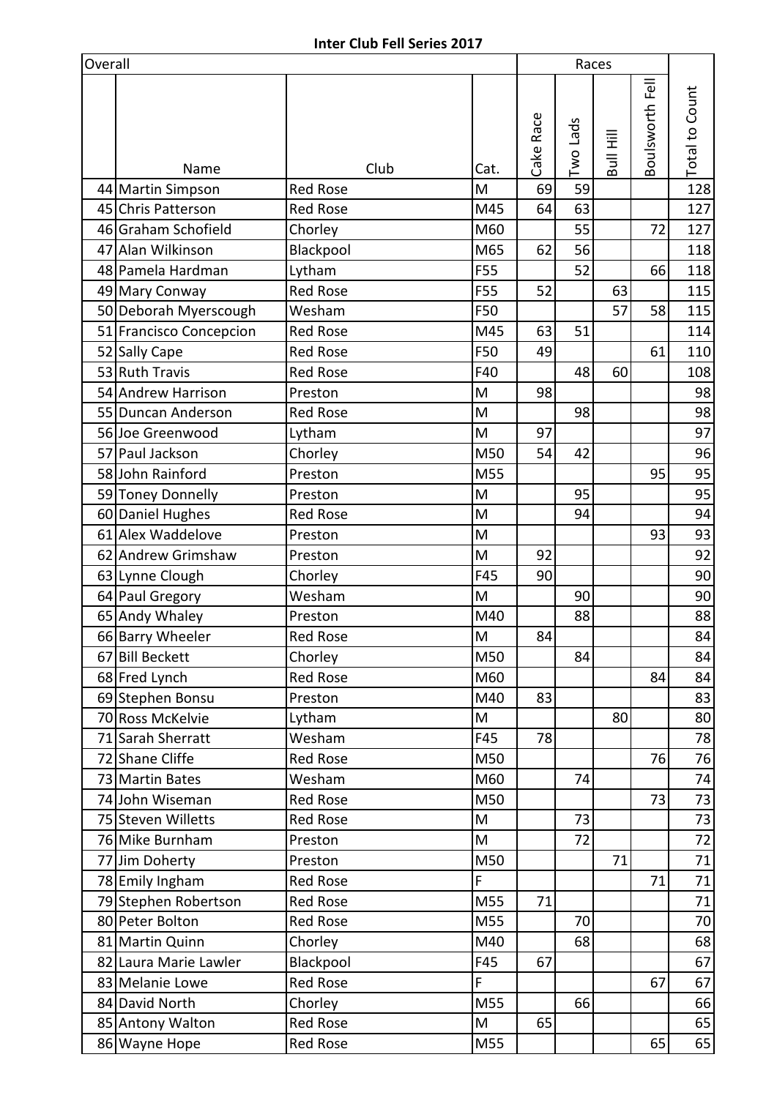| Overall |                         |                 |      |           | Races    |           |                 |                       |
|---------|-------------------------|-----------------|------|-----------|----------|-----------|-----------------|-----------------------|
|         |                         |                 |      | Cake Race | Two Lads | Bull Hill | Boulsworth Fell | <b>Total to Count</b> |
|         | Name                    | Club            | Cat. |           |          |           |                 |                       |
|         | 44 Martin Simpson       | <b>Red Rose</b> | M    | 69        | 59       |           |                 | 128                   |
|         | 45 Chris Patterson      | <b>Red Rose</b> | M45  | 64        | 63       |           |                 | 127                   |
|         | 46 Graham Schofield     | Chorley         | M60  |           | 55       |           | 72              | 127                   |
|         | 47 Alan Wilkinson       | Blackpool       | M65  | 62        | 56       |           |                 | 118                   |
|         | 48 Pamela Hardman       | Lytham          | F55  |           | 52       |           | 66              | 118                   |
|         | 49 Mary Conway          | <b>Red Rose</b> | F55  | 52        |          | 63        |                 | 115                   |
|         | 50 Deborah Myerscough   | Wesham          | F50  |           |          | 57        | 58              | 115                   |
|         | 51 Francisco Concepcion | <b>Red Rose</b> | M45  | 63        | 51       |           |                 | 114                   |
|         | 52 Sally Cape           | <b>Red Rose</b> | F50  | 49        |          |           | 61              | 110                   |
|         | 53 Ruth Travis          | <b>Red Rose</b> | F40  |           | 48       | 60        |                 | 108                   |
|         | 54 Andrew Harrison      | Preston         | M    | 98        |          |           |                 | 98                    |
|         | 55 Duncan Anderson      | <b>Red Rose</b> | M    |           | 98       |           |                 | 98                    |
|         | 56 Joe Greenwood        | Lytham          | M    | 97        |          |           |                 | 97                    |
|         | 57 Paul Jackson         | Chorley         | M50  | 54        | 42       |           |                 | 96                    |
|         | 58 John Rainford        | Preston         | M55  |           |          |           | 95              | 95                    |
|         | 59 Toney Donnelly       | Preston         | M    |           | 95       |           |                 | 95                    |
|         | 60 Daniel Hughes        | <b>Red Rose</b> | M    |           | 94       |           |                 | 94                    |
|         | 61 Alex Waddelove       | Preston         | M    |           |          |           | 93              | 93                    |
|         | 62 Andrew Grimshaw      | Preston         | M    | 92        |          |           |                 | 92                    |
|         | 63 Lynne Clough         | Chorley         | F45  | 90        |          |           |                 | 90                    |
|         | 64 Paul Gregory         | Wesham          | M    |           | 90       |           |                 | 90                    |
|         | 65 Andy Whaley          | Preston         | M40  |           | 88       |           |                 | 88                    |
|         | 66 Barry Wheeler        | Red Rose        | M    | 84        |          |           |                 | 84                    |
|         | 67 Bill Beckett         | Chorley         | M50  |           | 84       |           |                 | 84                    |
|         | 68 Fred Lynch           | Red Rose        | M60  |           |          |           | 84              | 84                    |
|         | 69 Stephen Bonsu        | Preston         | M40  | 83        |          |           |                 | 83                    |
|         | 70 Ross McKelvie        | Lytham          | M    |           |          | 80        |                 | 80                    |
|         | 71 Sarah Sherratt       | Wesham          | F45  | 78        |          |           |                 | 78                    |
|         | 72 Shane Cliffe         | Red Rose        | M50  |           |          |           | 76              | 76                    |
|         | 73 Martin Bates         | Wesham          | M60  |           | 74       |           |                 | 74                    |
|         | 74 John Wiseman         | Red Rose        | M50  |           |          |           | 73              | 73                    |
|         | 75 Steven Willetts      | Red Rose        | M    |           | 73       |           |                 | 73                    |
|         | 76 Mike Burnham         | Preston         | M    |           | 72       |           |                 | 72                    |
|         | 77 Jim Doherty          | Preston         | M50  |           |          | 71        |                 | 71                    |
|         | 78 Emily Ingham         | Red Rose        | F    |           |          |           | 71              | 71                    |
|         | 79 Stephen Robertson    | Red Rose        | M55  | 71        |          |           |                 | 71                    |
|         | 80 Peter Bolton         | <b>Red Rose</b> | M55  |           | 70       |           |                 | 70                    |
|         | 81 Martin Quinn         | Chorley         | M40  |           | 68       |           |                 | 68                    |
|         | 82 Laura Marie Lawler   | Blackpool       | F45  | 67        |          |           |                 | 67                    |
|         | 83 Melanie Lowe         | <b>Red Rose</b> | F    |           |          |           | 67              | 67                    |
|         | 84 David North          | Chorley         | M55  |           | 66       |           |                 | 66                    |
|         | 85 Antony Walton        | Red Rose        | M    | 65        |          |           |                 | 65                    |
|         | 86 Wayne Hope           | Red Rose        | M55  |           |          |           | 65              | 65                    |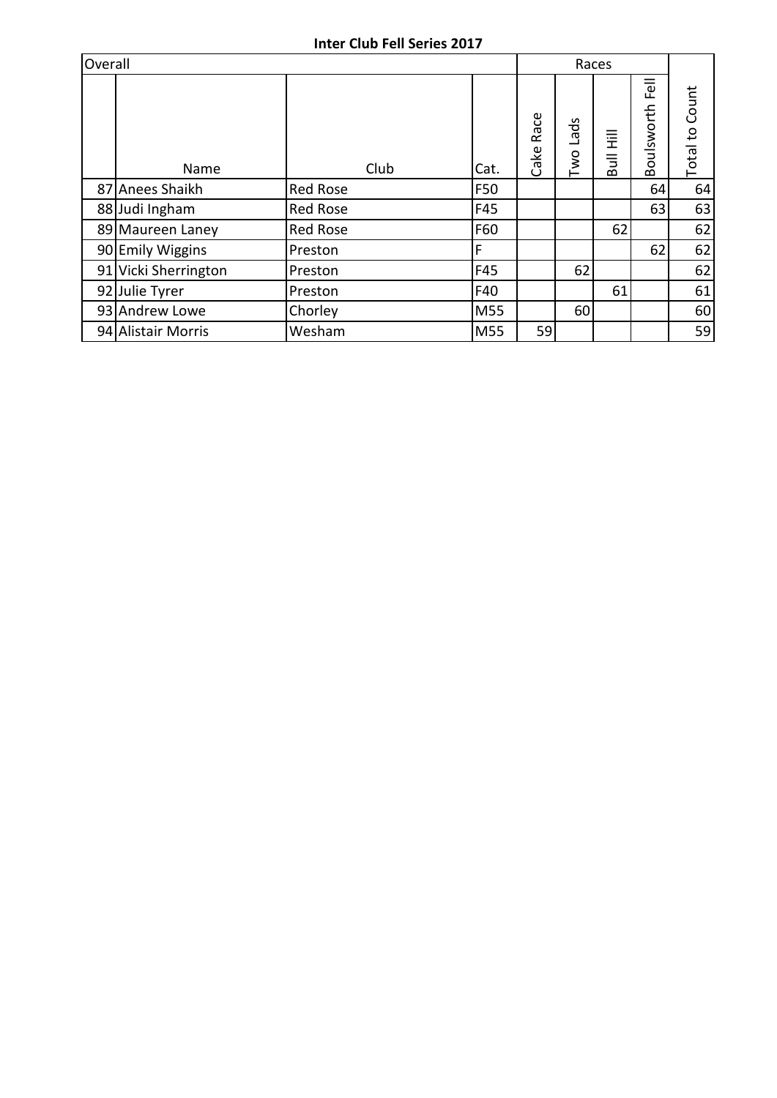| Overall |                      |                 |      |              |             | Races     |                   |                       |
|---------|----------------------|-----------------|------|--------------|-------------|-----------|-------------------|-----------------------|
|         | Name                 | Club            | Cat. | Race<br>Cake | Lads<br>Two | Bull Hill | Tel<br>Boulsworth | <b>Total to Count</b> |
|         | 87 Anees Shaikh      | Red Rose        | F50  |              |             |           | 64                | 64                    |
|         | 88 Judi Ingham       | <b>Red Rose</b> | F45  |              |             |           | 63                | 63                    |
|         | 89 Maureen Laney     | <b>Red Rose</b> | F60  |              |             | 62        |                   | 62                    |
|         | 90 Emily Wiggins     | Preston         | F    |              |             |           | 62                | 62                    |
|         | 91 Vicki Sherrington | Preston         | F45  |              | 62          |           |                   | 62                    |
|         | 92 Julie Tyrer       | Preston         | F40  |              |             | 61        |                   | 61                    |
|         | 93 Andrew Lowe       | Chorley         | M55  |              | 60          |           |                   | 60                    |
|         | 94 Alistair Morris   | Wesham          | M55  | 59           |             |           |                   | 59                    |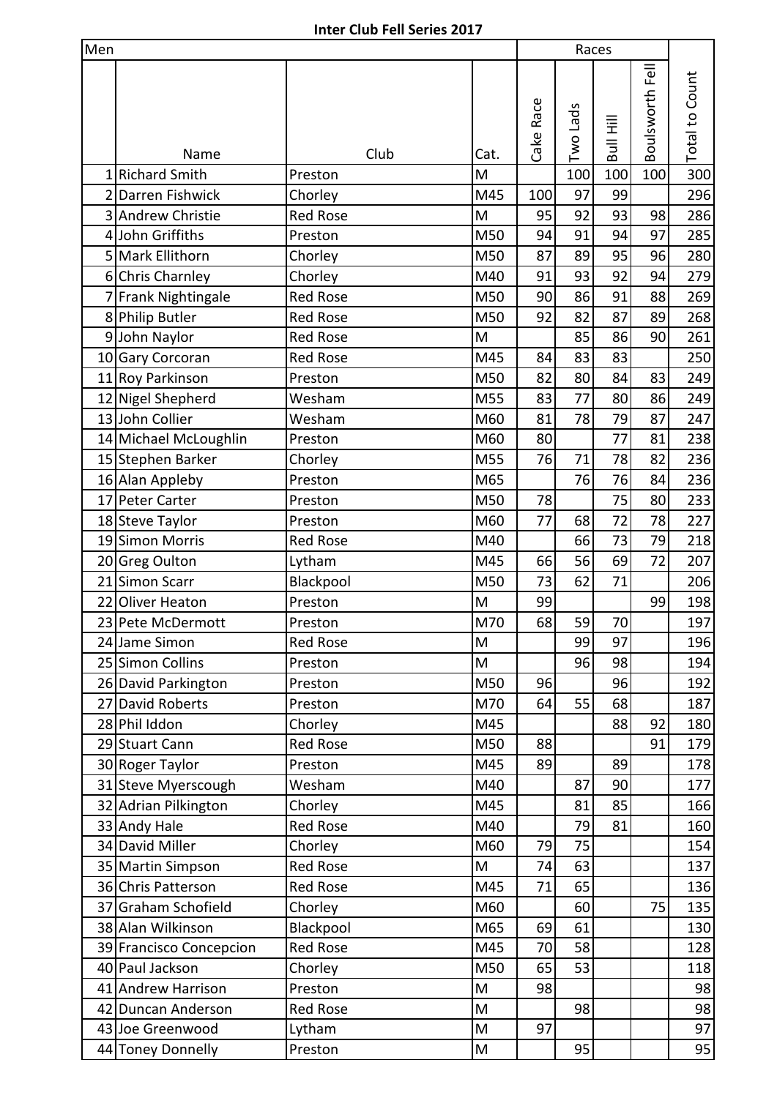| Men            |                         |                 |      |           |          | Races     |                 |                       |  |
|----------------|-------------------------|-----------------|------|-----------|----------|-----------|-----------------|-----------------------|--|
|                |                         |                 |      | Cake Race | Two Lads | Bull Hill | Boulsworth Fell | <b>Total to Count</b> |  |
|                | Name                    | Club            | Cat. |           |          |           |                 |                       |  |
| $1\vert$       | <b>Richard Smith</b>    | Preston         | M    |           | 100      | 100       | 100             | 300                   |  |
|                | 2 Darren Fishwick       | Chorley         | M45  | 100       | 97       | 99        |                 | 296                   |  |
|                | 3 Andrew Christie       | <b>Red Rose</b> | M    | 95        | 92       | 93        | 98              | 286                   |  |
|                | 4 John Griffiths        | Preston         | M50  | 94        | 91       | 94        | 97              | 285                   |  |
| 5 <sup>1</sup> | Mark Ellithorn          | Chorley         | M50  | 87        | 89       | 95        | 96              | 280                   |  |
|                | 6 Chris Charnley        | Chorley         | M40  | 91        | 93       | 92        | 94              | 279                   |  |
|                | 7 Frank Nightingale     | <b>Red Rose</b> | M50  | 90        | 86       | 91        | 88              | 269                   |  |
|                | 8 Philip Butler         | <b>Red Rose</b> | M50  | 92        | 82       | 87        | 89              | 268                   |  |
|                | 9 John Naylor           | <b>Red Rose</b> | M    |           | 85       | 86        | 90              | 261                   |  |
|                | 10 Gary Corcoran        | <b>Red Rose</b> | M45  | 84        | 83       | 83        |                 | 250                   |  |
|                | 11 Roy Parkinson        | Preston         | M50  | 82        | 80       | 84        | 83              | 249                   |  |
|                | 12 Nigel Shepherd       | Wesham          | M55  | 83        | 77       | 80        | 86              | 249                   |  |
|                | 13 John Collier         | Wesham          | M60  | 81        | 78       | 79        | 87              | 247                   |  |
|                | 14 Michael McLoughlin   | Preston         | M60  | 80        |          | 77        | 81              | 238                   |  |
|                | 15 Stephen Barker       | Chorley         | M55  | 76        | 71       | 78        | 82              | 236                   |  |
|                | 16 Alan Appleby         | Preston         | M65  |           | 76       | 76        | 84              | 236                   |  |
|                | 17 Peter Carter         | Preston         | M50  | 78        |          | 75        | 80              | 233                   |  |
|                | 18 Steve Taylor         | Preston         | M60  | 77        | 68       | 72        | 78              | 227                   |  |
|                | 19 Simon Morris         | <b>Red Rose</b> | M40  |           | 66       | 73        | 79              | 218                   |  |
|                | 20 Greg Oulton          | Lytham          | M45  | 66        | 56       | 69        | 72              | 207                   |  |
|                | 21 Simon Scarr          | Blackpool       | M50  | 73        | 62       | 71        |                 | 206                   |  |
|                | 22 Oliver Heaton        | Preston         | M    | 99        |          |           | 99              | 198                   |  |
|                | 23 Pete McDermott       | Preston         | M70  | 68        | 59       | 70        |                 | 197                   |  |
|                | 24 Jame Simon           | <b>Red Rose</b> | M    |           | 99       | 97        |                 | 196                   |  |
|                | 25 Simon Collins        | Preston         | M    |           | 96       | 98        |                 | 194                   |  |
|                | 26 David Parkington     | Preston         | M50  | 96        |          | 96        |                 | 192                   |  |
|                | 27 David Roberts        | Preston         | M70  | 64        | 55       | 68        |                 | 187                   |  |
|                | 28 Phil Iddon           | Chorley         | M45  |           |          | 88        | 92              | 180                   |  |
|                | 29 Stuart Cann          | <b>Red Rose</b> | M50  | 88        |          |           | 91              | 179                   |  |
|                | 30 Roger Taylor         | Preston         | M45  | 89        |          | 89        |                 | 178                   |  |
|                | 31 Steve Myerscough     | Wesham          | M40  |           | 87       | 90        |                 | 177                   |  |
|                | 32 Adrian Pilkington    | Chorley         | M45  |           | 81       | 85        |                 | 166                   |  |
|                | 33 Andy Hale            | <b>Red Rose</b> | M40  |           | 79       | 81        |                 | 160                   |  |
|                | 34 David Miller         | Chorley         | M60  | 79        | 75       |           |                 | 154                   |  |
|                | 35 Martin Simpson       | <b>Red Rose</b> | M    | 74        | 63       |           |                 | 137                   |  |
|                | 36 Chris Patterson      | <b>Red Rose</b> | M45  | 71        | 65       |           |                 | 136                   |  |
|                | 37 Graham Schofield     | Chorley         | M60  |           | 60       |           | 75              | 135                   |  |
|                | 38 Alan Wilkinson       | Blackpool       | M65  | 69        | 61       |           |                 | 130                   |  |
|                | 39 Francisco Concepcion | <b>Red Rose</b> | M45  | 70        | 58       |           |                 | 128                   |  |
|                | 40 Paul Jackson         | Chorley         | M50  | 65        | 53       |           |                 | 118                   |  |
|                | 41 Andrew Harrison      | Preston         | M    | 98        |          |           |                 | 98                    |  |
|                | 42 Duncan Anderson      | <b>Red Rose</b> | M    |           | 98       |           |                 | 98                    |  |
|                | 43 Joe Greenwood        | Lytham          | M    | 97        |          |           |                 | 97                    |  |
|                | 44 Toney Donnelly       | Preston         | M    |           | 95       |           |                 | 95                    |  |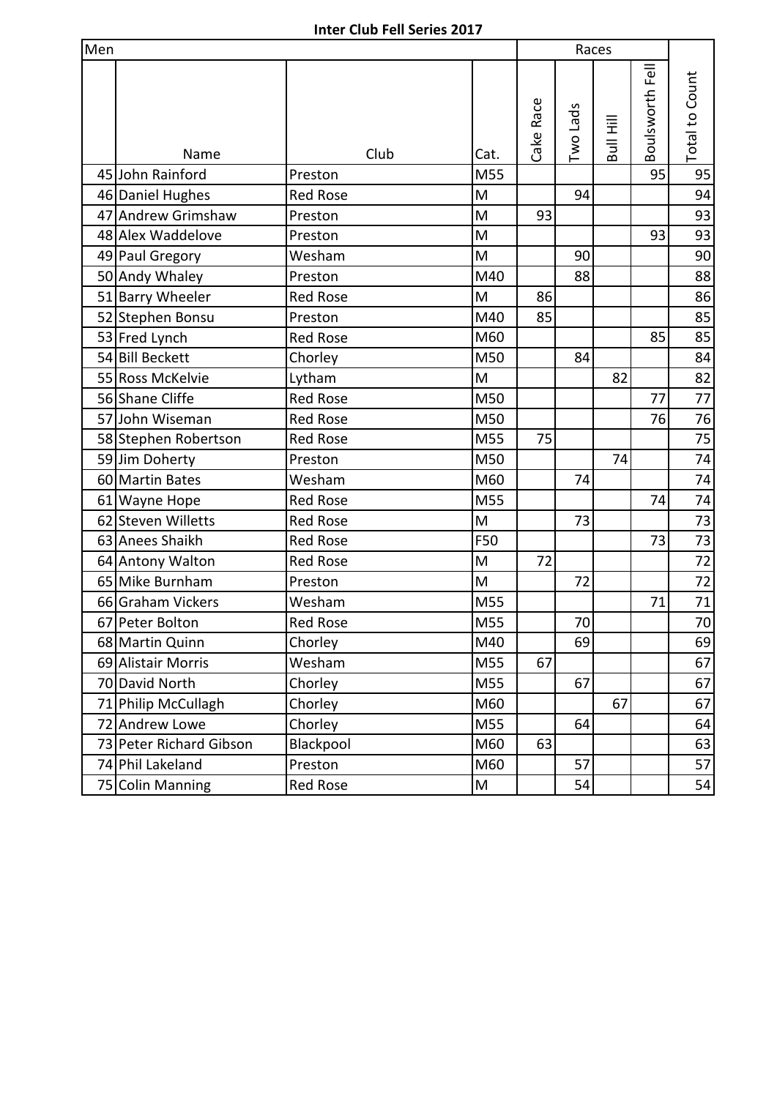| Men |                         |                 |           |           | Races    |           |                 |                |
|-----|-------------------------|-----------------|-----------|-----------|----------|-----------|-----------------|----------------|
|     | Name                    | Club            | Cat.      | Cake Race | Two Lads | Bull Hill | Boulsworth Fell | Total to Count |
|     | 45 John Rainford        | Preston         | M55       |           |          |           | 95              | 95             |
|     | 46 Daniel Hughes        | <b>Red Rose</b> | M         |           | 94       |           |                 | 94             |
|     | 47 Andrew Grimshaw      | Preston         | M         | 93        |          |           |                 | 93             |
|     | 48 Alex Waddelove       | Preston         | M         |           |          |           | 93              | 93             |
|     | 49 Paul Gregory         | Wesham          | M         |           | 90       |           |                 | 90             |
|     | 50 Andy Whaley          | Preston         | M40       |           | 88       |           |                 | 88             |
|     | 51 Barry Wheeler        | <b>Red Rose</b> | M         | 86        |          |           |                 | 86             |
|     | 52 Stephen Bonsu        | Preston         | M40       | 85        |          |           |                 | 85             |
|     | 53 Fred Lynch           | Red Rose        | M60       |           |          |           | 85              | 85             |
|     | 54 Bill Beckett         | Chorley         | M50       |           | 84       |           |                 | 84             |
|     | 55 Ross McKelvie        | Lytham          | M         |           |          | 82        |                 | 82             |
|     | 56 Shane Cliffe         | <b>Red Rose</b> | M50       |           |          |           | 77              | 77             |
|     | 57 John Wiseman         | <b>Red Rose</b> | M50       |           |          |           | 76              | 76             |
|     | 58 Stephen Robertson    | <b>Red Rose</b> | M55       | 75        |          |           |                 | 75             |
|     | 59 Jim Doherty          | Preston         | M50       |           |          | 74        |                 | 74             |
|     | 60 Martin Bates         | Wesham          | M60       |           | 74       |           |                 | 74             |
|     | 61 Wayne Hope           | <b>Red Rose</b> | M55       |           |          |           | 74              | 74             |
|     | 62 Steven Willetts      | <b>Red Rose</b> | M         |           | 73       |           |                 | 73             |
|     | 63 Anees Shaikh         | <b>Red Rose</b> | F50       |           |          |           | 73              | 73             |
|     | 64 Antony Walton        | <b>Red Rose</b> | M         | 72        |          |           |                 | 72             |
|     | 65 Mike Burnham         | Preston         | M         |           | 72       |           |                 | 72             |
|     | 66 Graham Vickers       | Wesham          | M55       |           |          |           | 71              | 71             |
|     | 67 Peter Bolton         | <b>Red Rose</b> | M55       |           | 70       |           |                 | 70             |
|     | 68 Martin Quinn         | Chorley         | M40       |           | 69       |           |                 | 69             |
|     | 69 Alistair Morris      | Wesham          | M55       | 67        |          |           |                 | 67             |
|     | 70 David North          | Chorley         | M55       |           | 67       |           |                 | 67             |
|     | 71 Philip McCullagh     | Chorley         | M60       |           |          | 67        |                 | 67             |
|     | 72 Andrew Lowe          | Chorley         | M55       |           | 64       |           |                 | 64             |
|     | 73 Peter Richard Gibson | Blackpool       | M60       | 63        |          |           |                 | 63             |
|     | 74 Phil Lakeland        | Preston         | M60       |           | 57       |           |                 | 57             |
|     | 75 Colin Manning        | Red Rose        | ${\sf M}$ |           | 54       |           |                 | 54             |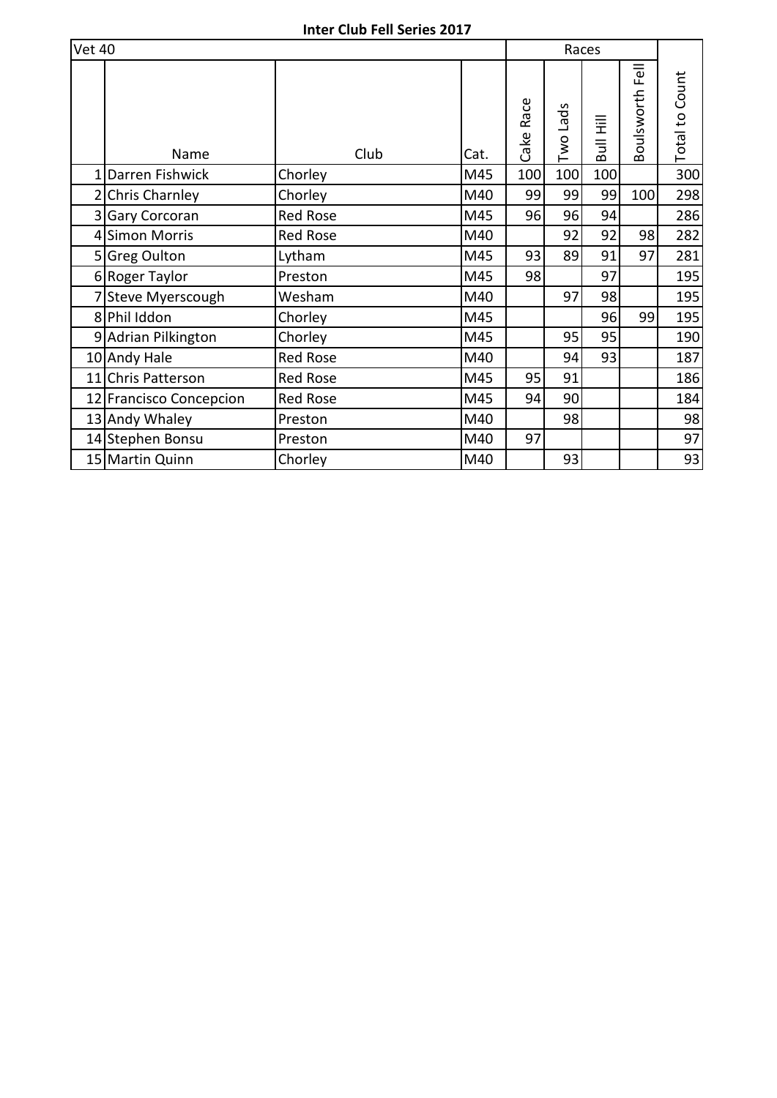| <b>Vet 40</b> |                         |                 |      | Races     |          |           |                    |                       |
|---------------|-------------------------|-----------------|------|-----------|----------|-----------|--------------------|-----------------------|
|               | Name                    | Club            | Cat. | Cake Race | Two Lads | Bull Hill | Fell<br>Boulsworth | <b>Total to Count</b> |
|               | 1 Darren Fishwick       | Chorley         | M45  | 100       | 100      | 100       |                    | 300                   |
|               | 2 Chris Charnley        | Chorley         | M40  | 99        | 99       | 99        | 100                | 298                   |
|               | 3 Gary Corcoran         | <b>Red Rose</b> | M45  | 96        | 96       | 94        |                    | 286                   |
|               | 4 Simon Morris          | <b>Red Rose</b> | M40  |           | 92       | 92        | 98                 | 282                   |
|               | 5 Greg Oulton           | Lytham          | M45  | 93        | 89       | 91        | 97                 | 281                   |
|               | 6 Roger Taylor          | Preston         | M45  | 98        |          | 97        |                    | 195                   |
|               | 7 Steve Myerscough      | Wesham          | M40  |           | 97       | 98        |                    | 195                   |
|               | 8 Phil Iddon            | Chorley         | M45  |           |          | 96        | 99                 | 195                   |
|               | 9 Adrian Pilkington     | Chorley         | M45  |           | 95       | 95        |                    | 190                   |
|               | 10 Andy Hale            | <b>Red Rose</b> | M40  |           | 94       | 93        |                    | 187                   |
|               | 11 Chris Patterson      | <b>Red Rose</b> | M45  | 95        | 91       |           |                    | 186                   |
|               | 12 Francisco Concepcion | <b>Red Rose</b> | M45  | 94        | 90       |           |                    | 184                   |
|               | 13 Andy Whaley          | Preston         | M40  |           | 98       |           |                    | 98                    |
|               | 14 Stephen Bonsu        | Preston         | M40  | 97        |          |           |                    | 97                    |
|               | 15 Martin Quinn         | Chorley         | M40  |           | 93       |           |                    | 93                    |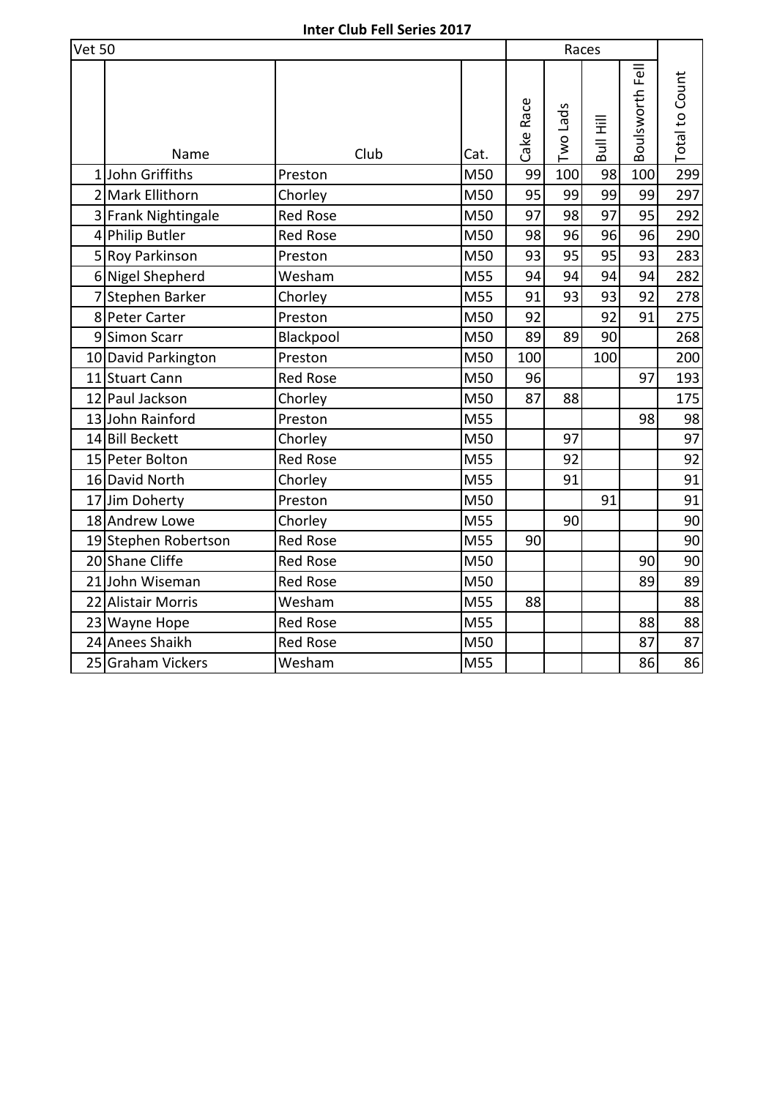| <b>Vet 50</b> |                      |                 |      |           | Races    |           |                 |                       |
|---------------|----------------------|-----------------|------|-----------|----------|-----------|-----------------|-----------------------|
|               | Name                 | Club            | Cat. | Cake Race | Two Lads | Bull Hill | Boulsworth Fell | <b>Total to Count</b> |
|               | 1John Griffiths      | Preston         | M50  | 99        | 100      | 98        | 100             | 299                   |
|               | 2 Mark Ellithorn     | Chorley         | M50  | 95        | 99       | 99        | 99              | 297                   |
|               | 3 Frank Nightingale  | <b>Red Rose</b> | M50  | 97        | 98       | 97        | 95              | 292                   |
|               | 4 Philip Butler      | <b>Red Rose</b> | M50  | 98        | 96       | 96        | 96              | 290                   |
|               | 5 Roy Parkinson      | Preston         | M50  | 93        | 95       | 95        | 93              | 283                   |
|               | 6 Nigel Shepherd     | Wesham          | M55  | 94        | 94       | 94        | 94              | 282                   |
|               | 7 Stephen Barker     | Chorley         | M55  | 91        | 93       | 93        | 92              | 278                   |
|               | 8 Peter Carter       | Preston         | M50  | 92        |          | 92        | 91              | 275                   |
|               | 9 Simon Scarr        | Blackpool       | M50  | 89        | 89       | 90        |                 | 268                   |
|               | 10 David Parkington  | Preston         | M50  | 100       |          | 100       |                 | 200                   |
|               | 11 Stuart Cann       | <b>Red Rose</b> | M50  | 96        |          |           | 97              | 193                   |
|               | 12 Paul Jackson      | Chorley         | M50  | 87        | 88       |           |                 | 175                   |
|               | 13 John Rainford     | Preston         | M55  |           |          |           | 98              | 98                    |
|               | 14 Bill Beckett      | Chorley         | M50  |           | 97       |           |                 | 97                    |
|               | 15 Peter Bolton      | <b>Red Rose</b> | M55  |           | 92       |           |                 | 92                    |
|               | 16 David North       | Chorley         | M55  |           | 91       |           |                 | 91                    |
|               | 17 Jim Doherty       | Preston         | M50  |           |          | 91        |                 | 91                    |
|               | 18 Andrew Lowe       | Chorley         | M55  |           | 90       |           |                 | 90                    |
|               | 19 Stephen Robertson | <b>Red Rose</b> | M55  | 90        |          |           |                 | 90                    |
|               | 20 Shane Cliffe      | <b>Red Rose</b> | M50  |           |          |           | 90              | 90                    |
|               | 21 John Wiseman      | <b>Red Rose</b> | M50  |           |          |           | 89              | 89                    |
|               | 22 Alistair Morris   | Wesham          | M55  | 88        |          |           |                 | 88                    |
|               | 23 Wayne Hope        | <b>Red Rose</b> | M55  |           |          |           | 88              | 88                    |
|               | 24 Anees Shaikh      | <b>Red Rose</b> | M50  |           |          |           | 87              | 87                    |
|               | 25 Graham Vickers    | Wesham          | M55  |           |          |           | 86              | 86                    |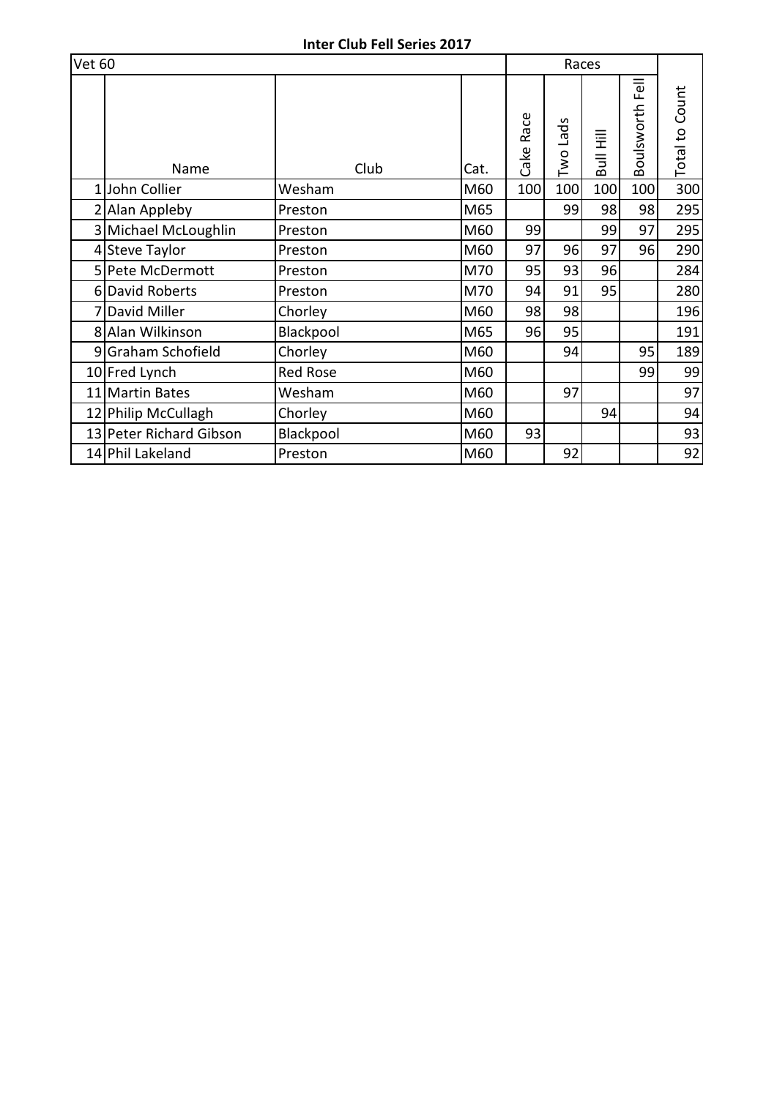| <b>Vet 60</b> |                         |                 |      |              | Races    |                                  |                    |                       |
|---------------|-------------------------|-----------------|------|--------------|----------|----------------------------------|--------------------|-----------------------|
|               | Name                    | Club            | Cat. | Race<br>Cake | Two Lads | Ë<br>$\overline{\mathsf{B}}$ ull | Fell<br>Boulsworth | <b>Total to Count</b> |
| 1             | John Collier            | Wesham          | M60  | 100          | 100      | 100                              | 100                | 300                   |
|               | 2 Alan Appleby          | Preston         | M65  |              | 99       | 98                               | 98                 | 295                   |
| 3             | Michael McLoughlin      | Preston         | M60  | 99           |          | 99                               | 97                 | 295                   |
|               | 4 Steve Taylor          | Preston         | M60  | 97           | 96       | 97                               | 96                 | 290                   |
|               | 5 Pete McDermott        | Preston         | M70  | 95           | 93       | 96                               |                    | 284                   |
|               | 6 David Roberts         | Preston         | M70  | 94           | 91       | 95                               |                    | 280                   |
|               | David Miller            | Chorley         | M60  | 98           | 98       |                                  |                    | 196                   |
|               | 8 Alan Wilkinson        | Blackpool       | M65  | 96           | 95       |                                  |                    | 191                   |
| 9             | Graham Schofield        | Chorley         | M60  |              | 94       |                                  | 95                 | 189                   |
|               | 10 Fred Lynch           | <b>Red Rose</b> | M60  |              |          |                                  | 99                 | 99                    |
|               | 11 Martin Bates         | Wesham          | M60  |              | 97       |                                  |                    | 97                    |
|               | 12 Philip McCullagh     | Chorley         | M60  |              |          | 94                               |                    | 94                    |
|               | 13 Peter Richard Gibson | Blackpool       | M60  | 93           |          |                                  |                    | 93                    |
|               | 14 Phil Lakeland        | Preston         | M60  |              | 92       |                                  |                    | 92                    |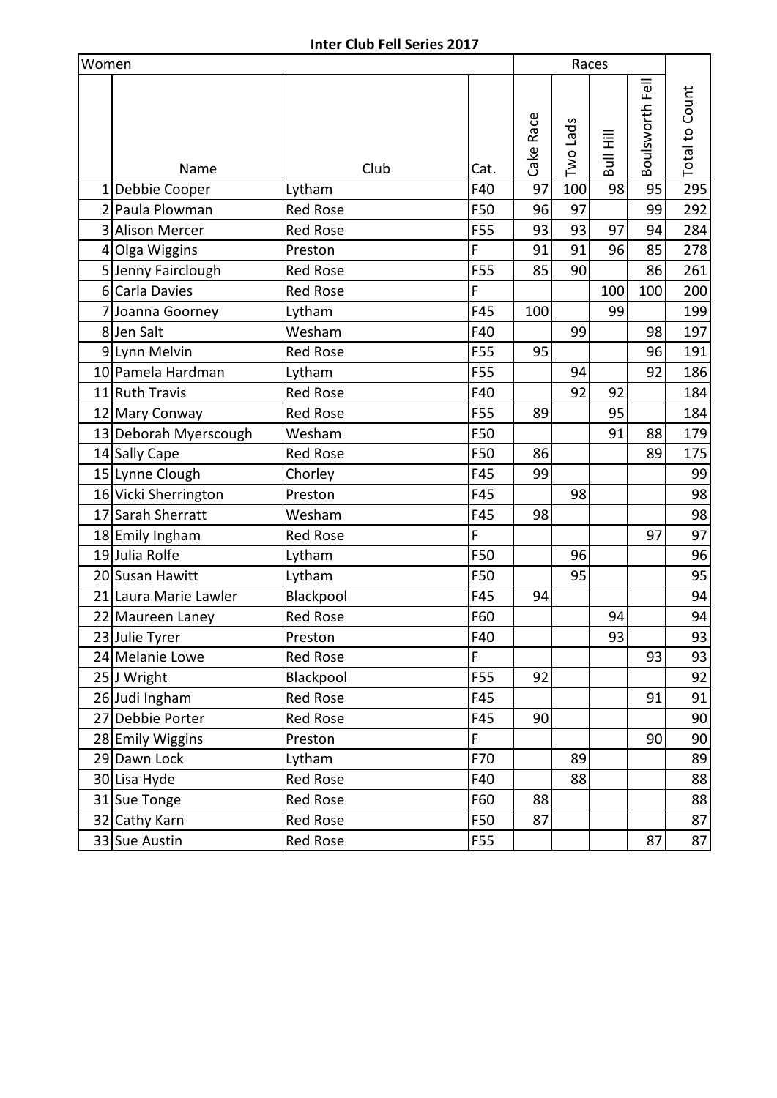| Women |                       |                 |      |      | Races     |          |           |                 |                       |
|-------|-----------------------|-----------------|------|------|-----------|----------|-----------|-----------------|-----------------------|
|       | Name                  |                 | Club | Cat. | Cake Race | Two Lads | Bull Hill | Boulsworth Fell | <b>Total to Count</b> |
| 1     | Debbie Cooper         | Lytham          |      | F40  | 97        | 100      | 98        | 95              | 295                   |
|       | 2 Paula Plowman       | <b>Red Rose</b> |      | F50  | 96        | 97       |           | 99              | 292                   |
|       | 3 Alison Mercer       | <b>Red Rose</b> |      | F55  | 93        | 93       | 97        | 94              | 284                   |
|       | 4 Olga Wiggins        | Preston         |      | F    | 91        | 91       | 96        | 85              | 278                   |
|       | 5 Jenny Fairclough    | <b>Red Rose</b> |      | F55  | 85        | 90       |           | 86              | 261                   |
|       | 6 Carla Davies        | <b>Red Rose</b> |      | F    |           |          | 100       | 100             | 200                   |
|       | 7 Joanna Goorney      | Lytham          |      | F45  | 100       |          | 99        |                 | 199                   |
|       | 8Jen Salt             | Wesham          |      | F40  |           | 99       |           | 98              | 197                   |
|       | 9 Lynn Melvin         | <b>Red Rose</b> |      | F55  | 95        |          |           | 96              | 191                   |
|       | 10 Pamela Hardman     | Lytham          |      | F55  |           | 94       |           | 92              | 186                   |
|       | 11 Ruth Travis        | <b>Red Rose</b> |      | F40  |           | 92       | 92        |                 | 184                   |
|       | 12 Mary Conway        | <b>Red Rose</b> |      | F55  | 89        |          | 95        |                 | 184                   |
|       | 13 Deborah Myerscough | Wesham          |      | F50  |           |          | 91        | 88              | 179                   |
|       | 14 Sally Cape         | <b>Red Rose</b> |      | F50  | 86        |          |           | 89              | 175                   |
|       | 15 Lynne Clough       | Chorley         |      | F45  | 99        |          |           |                 | 99                    |
|       | 16 Vicki Sherrington  | Preston         |      | F45  |           | 98       |           |                 | 98                    |
|       | 17 Sarah Sherratt     | Wesham          |      | F45  | 98        |          |           |                 | 98                    |
|       | 18 Emily Ingham       | <b>Red Rose</b> |      | F    |           |          |           | 97              | 97                    |
|       | 19Julia Rolfe         | Lytham          |      | F50  |           | 96       |           |                 | 96                    |
|       | 20 Susan Hawitt       | Lytham          |      | F50  |           | 95       |           |                 | 95                    |
|       | 21 Laura Marie Lawler | Blackpool       |      | F45  | 94        |          |           |                 | 94                    |
|       | 22 Maureen Laney      | <b>Red Rose</b> |      | F60  |           |          | 94        |                 | 94                    |
|       | 23 Julie Tyrer        | Preston         |      | F40  |           |          | 93        |                 | 93                    |
|       | 24 Melanie Lowe       | Red Rose        |      | F    |           |          |           | 93              | 93                    |
|       | 25 J Wright           | Blackpool       |      | F55  | 92        |          |           |                 | 92                    |
|       | 26 Judi Ingham        | Red Rose        |      | F45  |           |          |           | 91              | 91                    |
|       | 27 Debbie Porter      | Red Rose        |      | F45  | 90        |          |           |                 | 90                    |
|       | 28 Emily Wiggins      | Preston         |      | F    |           |          |           | 90              | 90                    |
|       | 29 Dawn Lock          | Lytham          |      | F70  |           | 89       |           |                 | 89                    |
|       | 30 Lisa Hyde          | Red Rose        |      | F40  |           | 88       |           |                 | 88                    |
|       | 31 Sue Tonge          | Red Rose        |      | F60  | 88        |          |           |                 | 88                    |
|       | 32 Cathy Karn         | Red Rose        |      | F50  | 87        |          |           |                 | 87                    |
|       | 33 Sue Austin         | Red Rose        |      | F55  |           |          |           | 87              | 87                    |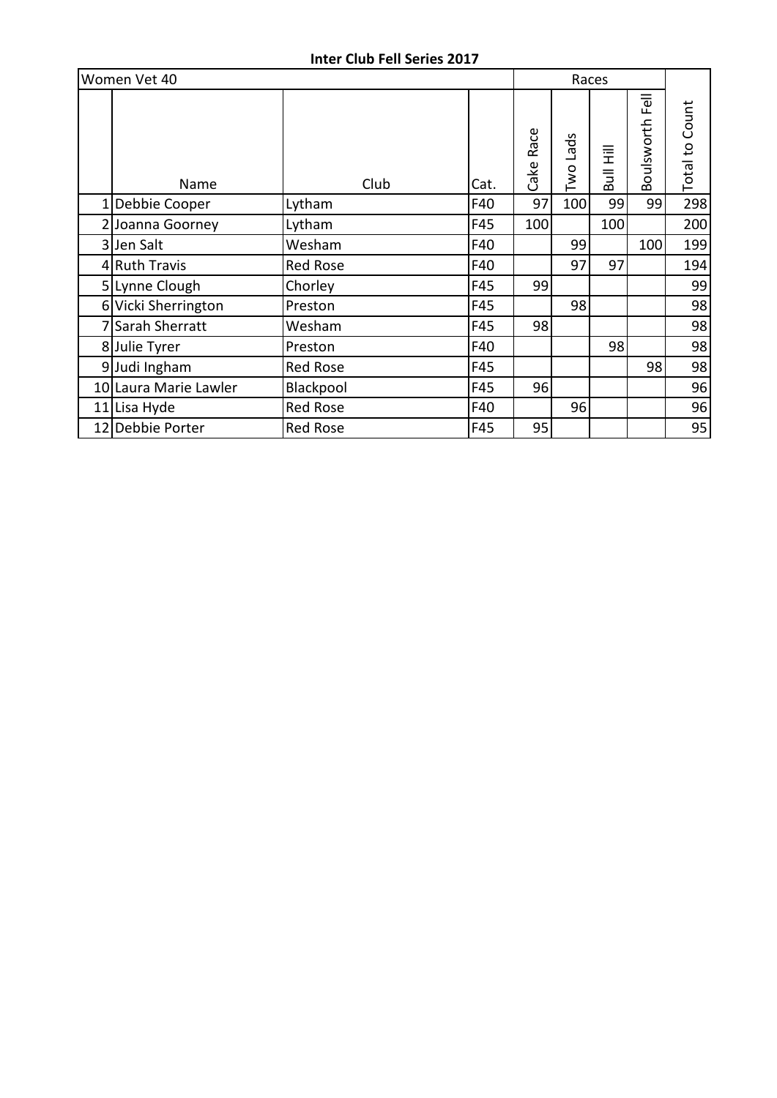| Women Vet 40          |                 |      | Races        |          |           |                    |                       |
|-----------------------|-----------------|------|--------------|----------|-----------|--------------------|-----------------------|
| Name                  | Club            | Cat. | Race<br>Cake | Two Lads | Bull Hill | Fell<br>Boulsworth | <b>Total to Count</b> |
| Debbie Cooper         | Lytham          | F40  | 97           | 100      | 99        | 99                 | 298                   |
| 2 Joanna Goorney      | Lytham          | F45  | 100          |          | 100       |                    | 200                   |
| 3 Jen Salt            | Wesham          | F40  |              | 99       |           | 100                | 199                   |
| 4 Ruth Travis         | <b>Red Rose</b> | F40  |              | 97       | 97        |                    | 194                   |
| 5 Lynne Clough        | Chorley         | F45  | 99           |          |           |                    | 99                    |
| 6 Vicki Sherrington   | Preston         | F45  |              | 98       |           |                    | 98                    |
| Sarah Sherratt        | Wesham          | F45  | 98           |          |           |                    | 98                    |
| 8 Julie Tyrer         | Preston         | F40  |              |          | 98        |                    | 98                    |
| 9 Judi Ingham         | <b>Red Rose</b> | F45  |              |          |           | 98                 | 98                    |
| 10 Laura Marie Lawler | Blackpool       | F45  | 96           |          |           |                    | 96                    |
| 11 Lisa Hyde          | Red Rose        | F40  |              | 96       |           |                    | 96                    |
| 12 Debbie Porter      | <b>Red Rose</b> | F45  | 95           |          |           |                    | 95                    |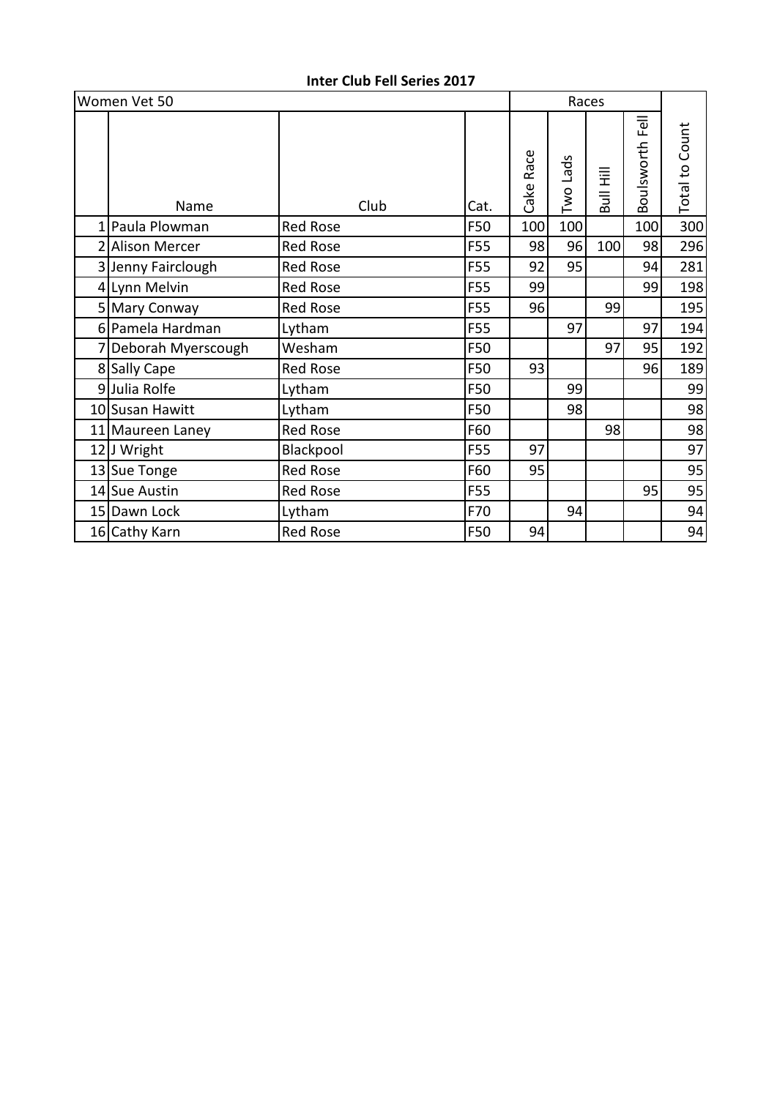|   | Women Vet 50       |                 |      | Races |              |          |           |                 |                       |
|---|--------------------|-----------------|------|-------|--------------|----------|-----------|-----------------|-----------------------|
|   | Name               |                 | Club | Cat.  | Race<br>Cake | Two Lads | Bull Hill | Boulsworth Fell | <b>Total to Count</b> |
| 1 | Paula Plowman      | <b>Red Rose</b> |      | F50   | 100          | 100      |           | 100             | 300                   |
|   | 2 Alison Mercer    | Red Rose        |      | F55   | 98           | 96       | 100       | 98              | 296                   |
|   | 3 Jenny Fairclough | Red Rose        |      | F55   | 92           | 95       |           | 94              | 281                   |
|   | 4 Lynn Melvin      | <b>Red Rose</b> |      | F55   | 99           |          |           | 99              | 198                   |
|   | 5 Mary Conway      | <b>Red Rose</b> |      | F55   | 96           |          | 99        |                 | 195                   |
|   | 6 Pamela Hardman   | Lytham          |      | F55   |              | 97       |           | 97              | 194                   |
|   | Deborah Myerscough | Wesham          |      | F50   |              |          | 97        | 95              | 192                   |
|   | 8 Sally Cape       | <b>Red Rose</b> |      | F50   | 93           |          |           | 96              | 189                   |
|   | 9Julia Rolfe       | Lytham          |      | F50   |              | 99       |           |                 | 99                    |
|   | 10 Susan Hawitt    | Lytham          |      | F50   |              | 98       |           |                 | 98                    |
|   | 11 Maureen Laney   | Red Rose        |      | F60   |              |          | 98        |                 | 98                    |
|   | 12 J Wright        | Blackpool       |      | F55   | 97           |          |           |                 | 97                    |
|   | 13 Sue Tonge       | <b>Red Rose</b> |      | F60   | 95           |          |           |                 | 95                    |
|   | 14 Sue Austin      | <b>Red Rose</b> |      | F55   |              |          |           | 95              | 95                    |
|   | 15 Dawn Lock       | Lytham          |      | F70   |              | 94       |           |                 | 94                    |
|   | 16 Cathy Karn      | <b>Red Rose</b> |      | F50   | 94           |          |           |                 | 94                    |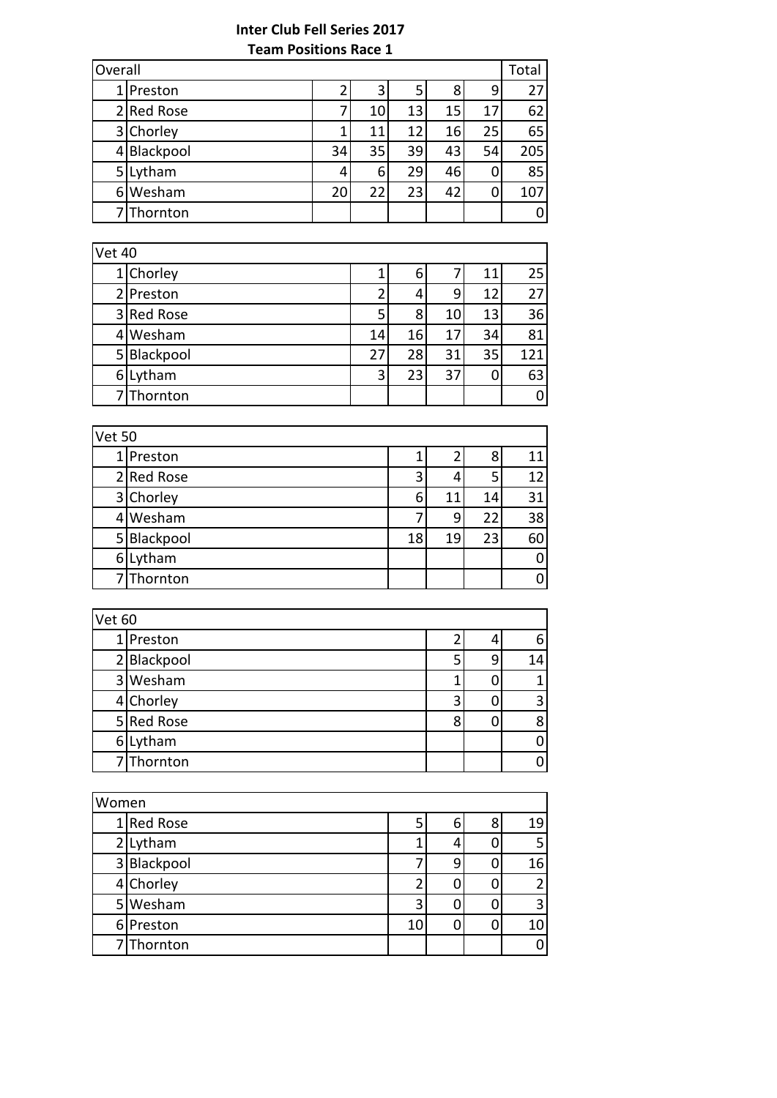|   | Overall<br>Total |    |    |    |    |    |     |
|---|------------------|----|----|----|----|----|-----|
|   | Preston          |    | 3  | 5  | 8  | 9  | 27  |
|   | 2 Red Rose       |    | 10 | 13 | 15 | 17 | 62  |
|   | 3 Chorley        |    | 11 | 12 | 16 | 25 | 65  |
|   | 4 Blackpool      | 34 | 35 | 39 | 43 | 54 | 205 |
| 5 | Lytham           |    | 6  | 29 | 46 | 0  | 85  |
|   | 6 Wesham         | 20 | 22 | 23 | 42 | 0  | 107 |
|   | Thornton         |    |    |    |    |    | 0   |

| Vet 40 |             |    |    |    |    |     |
|--------|-------------|----|----|----|----|-----|
|        | 1 Chorley   |    | 6  |    | 11 | 25  |
|        | 2 Preston   | า  | 4  | 9  | 12 | 27  |
|        | 3 Red Rose  | 5  | 8  | 10 | 13 | 36  |
|        | 4 Wesham    | 14 | 16 | 17 | 34 | 81  |
|        | 5 Blackpool | 27 | 28 | 31 | 35 | 121 |
|        | 6Lytham     | 3  | 23 | 37 | 0  | 63  |
|        | 7 Thornton  |    |    |    |    | 0   |

|   | <b>Vet 50</b> |    |    |    |    |  |
|---|---------------|----|----|----|----|--|
|   | 1 Preston     |    |    | 8  | 11 |  |
|   | 2 Red Rose    | 3  | 4  | 5  | 12 |  |
|   | 3 Chorley     | 6  | 11 | 14 | 31 |  |
|   | 4 Wesham      |    | 9  | 22 | 38 |  |
|   | 5 Blackpool   | 18 | 19 | 23 | 60 |  |
| 6 | Lytham        |    |    |    | 0  |  |
|   | 7 Thornton    |    |    |    | ი  |  |

| Vet 60      |   |   |    |  |  |  |
|-------------|---|---|----|--|--|--|
| 1 Preston   |   |   | 6  |  |  |  |
| 2 Blackpool |   | 9 | 14 |  |  |  |
| 3 Wesham    |   |   |    |  |  |  |
| 4 Chorley   |   |   | 3  |  |  |  |
| 5 Red Rose  | 8 |   | 8  |  |  |  |
| 6 Lytham    |   |   |    |  |  |  |
| 7 Thornton  |   |   |    |  |  |  |

| Women       |   |   |   |    |  |  |
|-------------|---|---|---|----|--|--|
| 1 Red Rose  | 5 | 6 | 8 | 19 |  |  |
| 2 Lytham    |   |   |   | 5  |  |  |
| 3 Blackpool |   | 9 | 0 | 16 |  |  |
| 4 Chorley   |   |   |   | 2  |  |  |
| 5 Wesham    | 3 |   |   | 3  |  |  |
| 6 Preston   |   |   | 0 | 10 |  |  |
| Thornton    |   |   |   | ი  |  |  |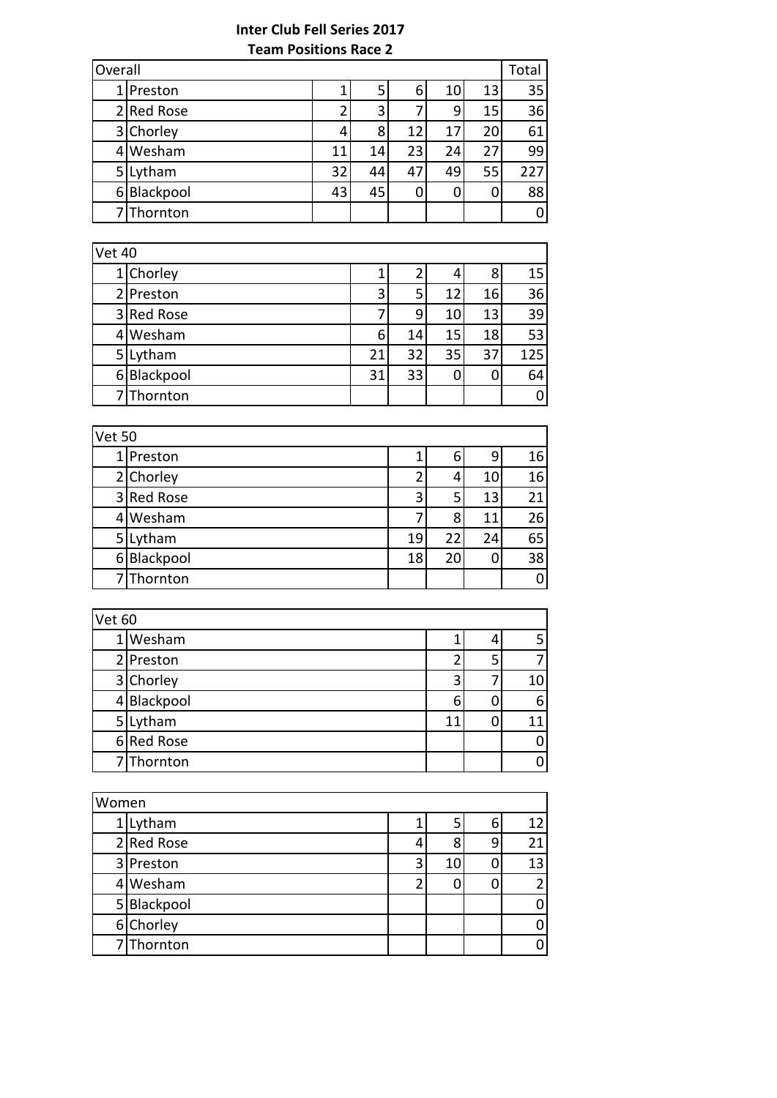# **Inter Club Fell Series 2017 Team Positions Race 2**

| Overall<br>Total |    |    |    |    |    |     |
|------------------|----|----|----|----|----|-----|
| 1 Preston        |    | 5  | 6  | 10 | 13 | 35  |
| 2 Red Rose       |    | 3  |    | 9  | 15 | 36  |
| 3 Chorley        | 4  | 8  | 12 | 17 | 20 | 61  |
| 4 Wesham         | 11 | 14 | 23 | 24 | 27 | 99  |
| 5 Lytham         | 32 | 44 | 47 | 49 | 55 | 227 |
| 6 Blackpool      | 43 | 45 |    |    | 0  | 88  |
| 7 Thornton       |    |    |    |    |    | 0   |

|    | <b>Vet 40</b> |    |    |    |    |     |  |  |
|----|---------------|----|----|----|----|-----|--|--|
|    | 1 Chorley     |    |    |    | 8  | 15  |  |  |
|    | 2 Preston     | 3  | 5  | 12 | 16 | 36  |  |  |
|    | 3 Red Rose    |    | 9  | 10 | 13 | 39  |  |  |
| 41 | Wesham        | 6  | 14 | 15 | 18 | 53  |  |  |
| 5  | Lytham        | 21 | 32 | 35 | 37 | 125 |  |  |
| 6  | Blackpool     | 31 | 33 |    |    | 64  |  |  |
|    | 7Thornton     |    |    |    |    | O   |  |  |

| Vet 50      |    |    |    |    |  |
|-------------|----|----|----|----|--|
| 1 Preston   |    | 6  | 9  | 16 |  |
| 2 Chorley   |    |    | 10 | 16 |  |
| 3 Red Rose  | 3  | 5  | 13 | 21 |  |
| 4 Wesham    |    | 8  | 11 | 26 |  |
| 5 Lytham    | 19 | 22 | 24 | 65 |  |
| 6 Blackpool | 18 | 20 | 0  | 38 |  |
| 7 Thornton  |    |    |    | 0  |  |

| Vet 60 |             |    |   |    |
|--------|-------------|----|---|----|
|        | Wesham      |    | 4 |    |
|        | 2 Preston   |    | 5 |    |
|        | 3 Chorley   | 3  |   | 10 |
|        | 4 Blackpool | 6  |   | 6  |
|        | 5 Lytham    | 11 |   | 11 |
|        | 6 Red Rose  |    |   |    |
|        | 7 Thornton  |    |   |    |

| Women |             |   |    |   |                 |
|-------|-------------|---|----|---|-----------------|
|       | 1 Lytham    |   | 5  | 6 | 12 <sub>l</sub> |
|       | 2 Red Rose  | 4 | 8  | 9 | 21              |
|       | 3 Preston   | 3 | 10 | 0 | 13              |
|       | Wesham      |   |    | 0 | 2 <sub>1</sub>  |
|       | 5 Blackpool |   |    |   | 0               |
|       | 6 Chorley   |   |    |   | 0               |
|       | Thornton    |   |    |   | ი               |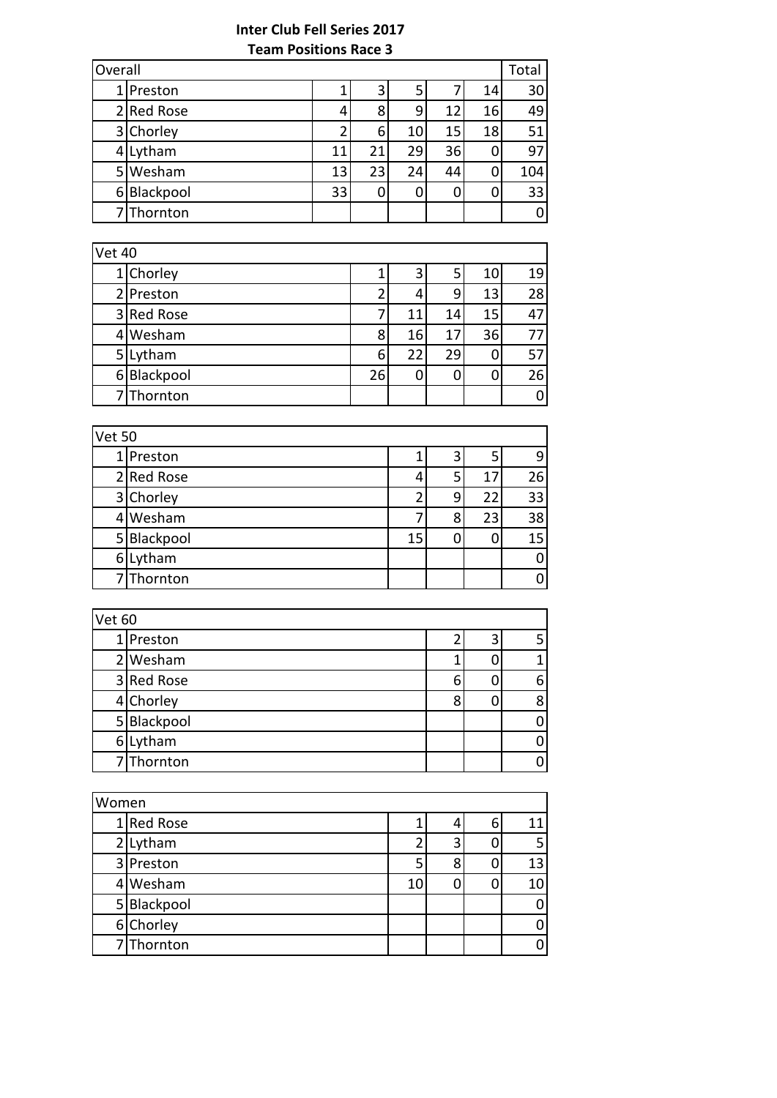# **Inter Club Fell Series 2017 Team Positions Race 3**

| Overall<br>Total |    |    |    |    |    |     |
|------------------|----|----|----|----|----|-----|
| 1 Preston        |    | 3  | 5  |    | 14 | 30  |
| 2 Red Rose       | 4  | 8  | 9  | 12 | 16 | 49  |
| 3 Chorley        | า  | 6  | 10 | 15 | 18 | 51  |
| 4 Lytham         | 11 | 21 | 29 | 36 | 0  | 97  |
| 5 Wesham         | 13 | 23 | 24 | 44 | 0  | 104 |
| 6 Blackpool      | 33 | U  |    |    | 0  | 33  |
| 7 Thornton       |    |    |    |    |    | 0   |

| Vet 40 |             |    |    |    |    |    |
|--------|-------------|----|----|----|----|----|
|        | 1 Chorley   |    | 3  | 5  | 10 | 19 |
|        | 2 Preston   |    | 4  | 9  | 13 | 28 |
|        | 3 Red Rose  |    | 11 | 14 | 15 | 47 |
|        | 4 Wesham    | 8  | 16 | 17 | 36 | 77 |
|        | 5 Lytham    | 6  | 22 | 29 | 0  | 57 |
|        | 6 Blackpool | 26 |    |    | 0  | 26 |
|        | 7Thornton   |    |    |    |    | 0  |

| Vet 50 |             |    |   |    |    |
|--------|-------------|----|---|----|----|
|        | 1 Preston   |    | 3 | 5  | 9  |
|        | 2 Red Rose  | 4  | 5 | 17 | 26 |
|        | 3 Chorley   |    | 9 | 22 | 33 |
|        | 4 Wesham    |    | 8 | 23 | 38 |
|        | 5 Blackpool | 15 |   |    | 15 |
|        | 6 Lytham    |    |   |    | 0  |
|        | 7 Thornton  |    |   |    | ი  |

| <b>Vet 60</b> |             |   |   |   |
|---------------|-------------|---|---|---|
|               | 1 Preston   |   | 3 |   |
|               | 2 Wesham    |   |   |   |
|               | 3 Red Rose  | 6 |   | 6 |
|               | 4 Chorley   | 8 |   | 8 |
|               | 5 Blackpool |   |   |   |
|               | 6 Lytham    |   |   |   |
|               | 7 Thornton  |   |   |   |

| Women |             |    |   |   |    |
|-------|-------------|----|---|---|----|
|       | 1 Red Rose  |    |   | 6 | 11 |
|       | 2 Lytham    |    |   |   | 5  |
|       | 3 Preston   |    | 8 |   | 13 |
|       | Wesham      | 10 |   |   | 10 |
|       | 5 Blackpool |    |   |   | 0  |
|       | 6 Chorley   |    |   |   | 0  |
|       | Thornton    |    |   |   | 0  |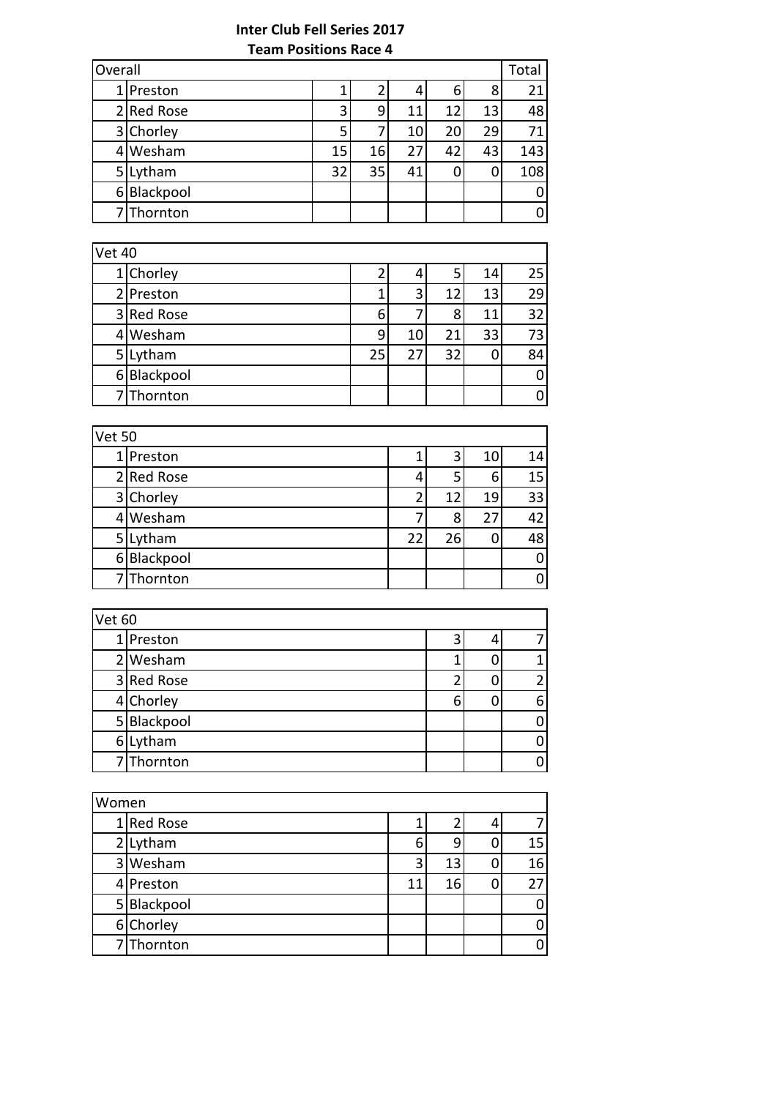# **Inter Club Fell Series 2017 Team Positions Race 4**

| Overall<br>Total |    |    |    |    |    |     |
|------------------|----|----|----|----|----|-----|
| 1 Preston        |    |    | 4  | 6  | 8  | 21  |
| 2 Red Rose       | 3  | q  | 11 | 12 | 13 | 48  |
| 3 Chorley        | 5  |    | 10 | 20 | 29 | 71  |
| Wesham           | 15 | 16 | 27 | 42 | 43 | 143 |
| 5 Lytham         | 32 | 35 | 41 |    | 0  | 108 |
| 6 Blackpool      |    |    |    |    |    | 0   |
| 7 Thornton       |    |    |    |    |    | 0   |

| <b>Vet 40</b> |             |    |    |    |    |    |
|---------------|-------------|----|----|----|----|----|
|               | 1 Chorley   |    |    |    | 14 | 25 |
|               | 2 Preston   |    | 3  | 12 | 13 | 29 |
|               | 3 Red Rose  | 6  |    | 8  | 11 | 32 |
|               | 4 Wesham    | ٩  | 10 | 21 | 33 | 73 |
| 5             | Lytham      | 25 | 27 | 32 | 0  | 84 |
|               | 6 Blackpool |    |    |    |    | 0  |
|               | 7 Thornton  |    |    |    |    | 0  |

| <b>Vet 50</b>  |             |    |    |    |    |
|----------------|-------------|----|----|----|----|
|                | 1 Preston   |    | 3  | 10 | 14 |
|                | 2 Red Rose  |    |    | 6  | 15 |
|                | 3 Chorley   |    | 12 | 19 | 33 |
|                | 4 Wesham    |    | 8  | 27 | 42 |
| 5 <sup>1</sup> | Lytham      | 22 | 26 |    | 48 |
|                | 6 Blackpool |    |    |    | 0  |
|                | 7 Thornton  |    |    |    | 0  |

| Vet 60 |             |   |   |
|--------|-------------|---|---|
|        | 1 Preston   |   |   |
|        | 2 Wesham    |   |   |
|        | 3 Red Rose  |   |   |
|        | 4 Chorley   | 6 | 6 |
|        | 5 Blackpool |   |   |
|        | 6 Lytham    |   |   |
|        | 7 Thornton  |   |   |

| Women |             |    |    |    |
|-------|-------------|----|----|----|
|       | 1 Red Rose  |    |    |    |
|       | 2 Lytham    | h  | 9  | 15 |
|       | 3 Wesham    | 3  | 13 | 16 |
|       | 4 Preston   | 11 | 16 | 27 |
|       | 5 Blackpool |    |    | 0  |
|       | 6 Chorley   |    |    | 0  |
|       | Thornton    |    |    | 0  |
|       |             |    |    |    |